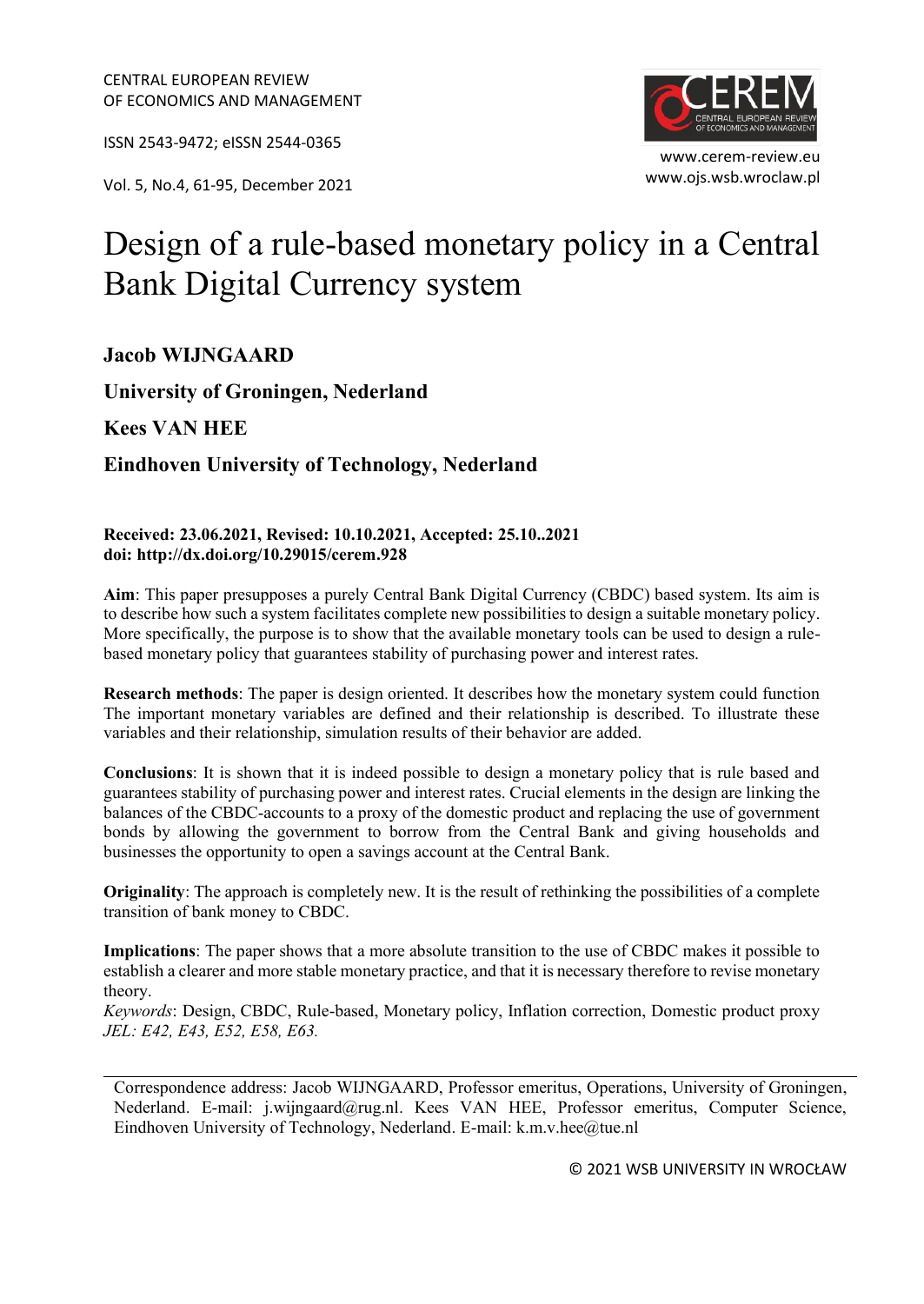ISSN 2543-9472; eISSN 2544-0365

www.ojs.wsb.wroclaw.pl Vol. 5, No.4, 61-95, December <sup>2021</sup>



# Design of a rule-based monetary policy in a Central Bank Digital Currency system

# **Jacob WIJNGAARD**

**University of Groningen, Nederland**

**Kees VAN HEE**

**Eindhoven University of Technology, Nederland**

#### **Received: 23.06.2021, Revised: 10.10.2021, Accepted: 25.10..2021 doi: http://dx.doi.org/10.29015/cerem.928**

**Aim**: This paper presupposes a purely Central Bank Digital Currency (CBDC) based system. Its aim is to describe how such a system facilitates complete new possibilities to design a suitable monetary policy. More specifically, the purpose is to show that the available monetary tools can be used to design a rulebased monetary policy that guarantees stability of purchasing power and interest rates.

**Research methods**: The paper is design oriented. It describes how the monetary system could function The important monetary variables are defined and their relationship is described. To illustrate these variables and their relationship, simulation results of their behavior are added.

**Conclusions**: It is shown that it is indeed possible to design a monetary policy that is rule based and guarantees stability of purchasing power and interest rates. Crucial elements in the design are linking the balances of the CBDC-accounts to a proxy of the domestic product and replacing the use of government bonds by allowing the government to borrow from the Central Bank and giving households and businesses the opportunity to open a savings account at the Central Bank.

**Originality**: The approach is completely new. It is the result of rethinking the possibilities of a complete transition of bank money to CBDC.

**Implications**: The paper shows that a more absolute transition to the use of CBDC makes it possible to establish a clearer and more stable monetary practice, and that it is necessary therefore to revise monetary theory.

*Keywords*: Design, CBDC, Rule-based, Monetary policy, Inflation correction, Domestic product proxy *JEL: E42, E43, E52, E58, E63.*

Correspondence address: Jacob WIJNGAARD, Professor emeritus, Operations, University of Groningen, Nederland. E-mail: j.wijngaard@rug.nl. Kees VAN HEE, Professor emeritus, Computer Science, Eindhoven University of Technology, Nederland. E-mail: k.m.v.hee@tue.nl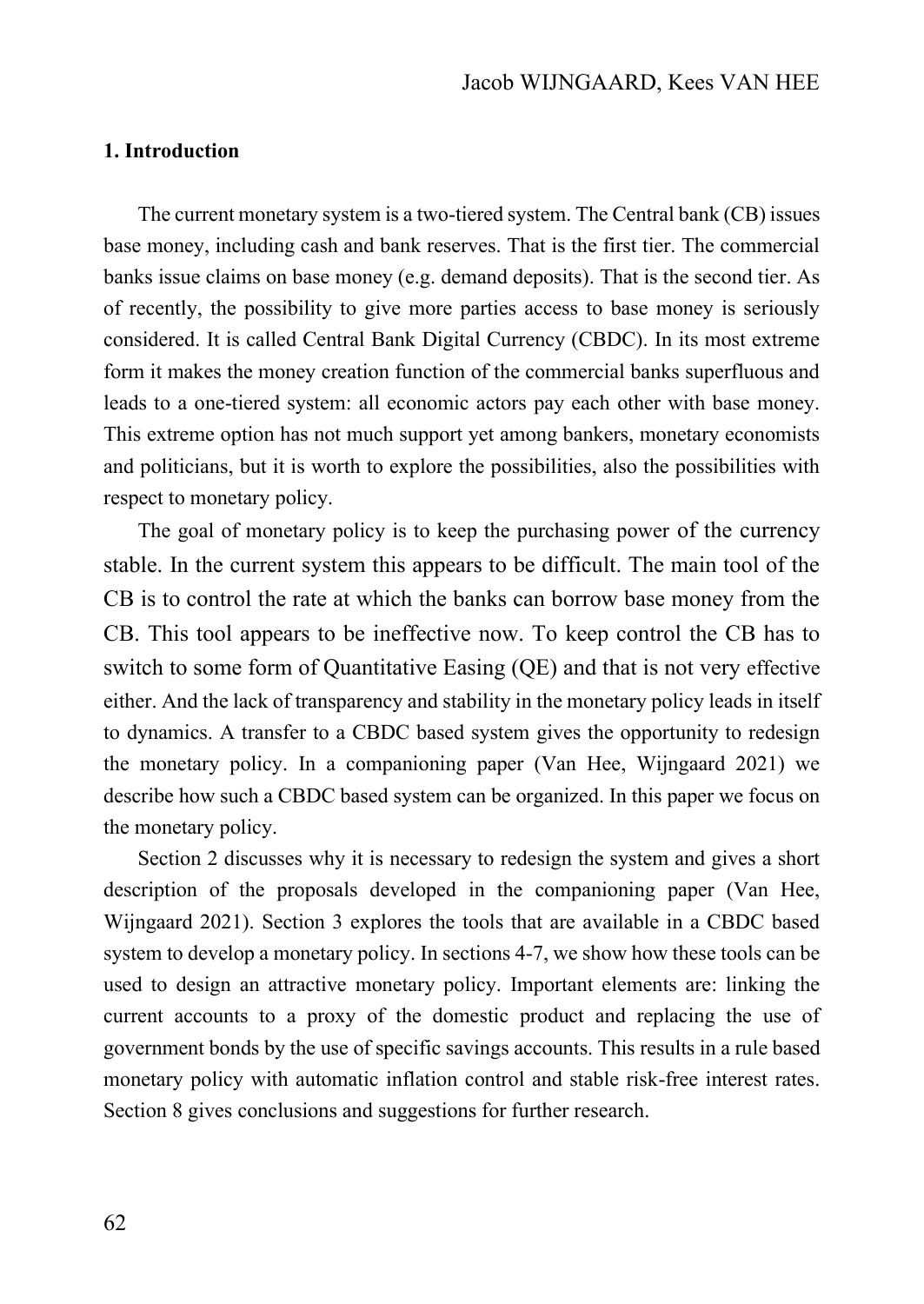### **1. Introduction**

The current monetary system is a two-tiered system. The Central bank (CB) issues base money, including cash and bank reserves. That is the first tier. The commercial banks issue claims on base money (e.g. demand deposits). That is the second tier. As of recently, the possibility to give more parties access to base money is seriously considered. It is called Central Bank Digital Currency (CBDC). In its most extreme form it makes the money creation function of the commercial banks superfluous and leads to a one-tiered system: all economic actors pay each other with base money. This extreme option has not much support yet among bankers, monetary economists and politicians, but it is worth to explore the possibilities, also the possibilities with respect to monetary policy.

The goal of monetary policy is to keep the purchasing power of the currency stable. In the current system this appears to be difficult. The main tool of the CB is to control the rate at which the banks can borrow base money from the CB. This tool appears to be ineffective now. To keep control the CB has to switch to some form of Quantitative Easing (QE) and that is not very effective either. And the lack of transparency and stability in the monetary policy leads in itself to dynamics. A transfer to a CBDC based system gives the opportunity to redesign the monetary policy. In a companioning paper (Van Hee, Wijngaard 2021) we describe how such a CBDC based system can be organized. In this paper we focus on the monetary policy.

Section 2 discusses why it is necessary to redesign the system and gives a short description of the proposals developed in the companioning paper (Van Hee, Wijngaard 2021). Section 3 explores the tools that are available in a CBDC based system to develop a monetary policy. In sections 4-7, we show how these tools can be used to design an attractive monetary policy. Important elements are: linking the current accounts to a proxy of the domestic product and replacing the use of government bonds by the use of specific savings accounts. This results in a rule based monetary policy with automatic inflation control and stable risk-free interest rates. Section 8 gives conclusions and suggestions for further research.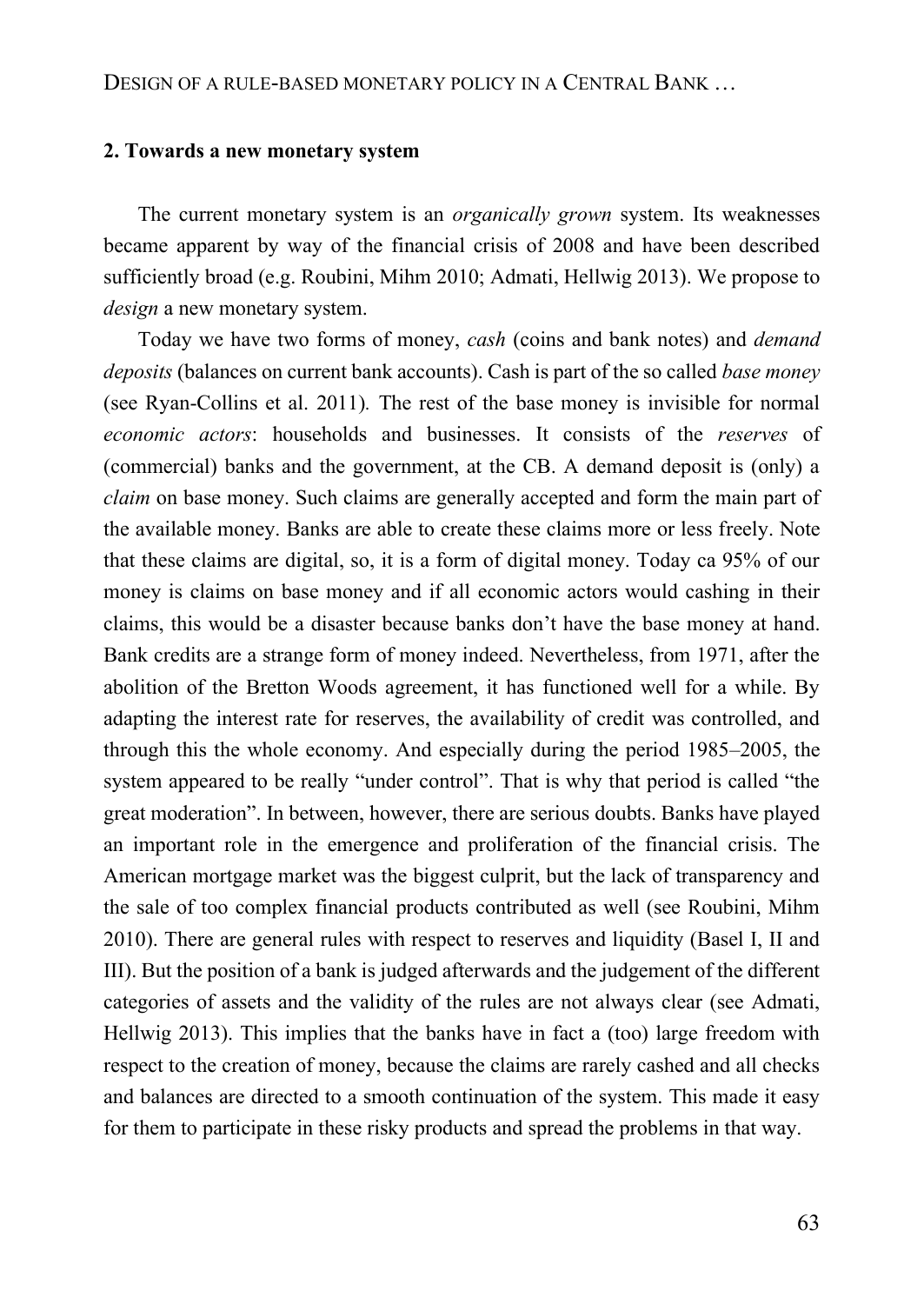#### **2. Towards a new monetary system**

The current monetary system is an *organically grown* system. Its weaknesses became apparent by way of the financial crisis of 2008 and have been described sufficiently broad (e.g. Roubini, Mihm 2010; Admati, Hellwig 2013). We propose to *design* a new monetary system.

Today we have two forms of money, *cash* (coins and bank notes) and *demand deposits* (balances on current bank accounts). Cash is part of the so called *base money*  (see Ryan-Collins et al. 2011)*.* The rest of the base money is invisible for normal *economic actors*: households and businesses. It consists of the *reserves* of (commercial) banks and the government, at the CB. A demand deposit is (only) a *claim* on base money. Such claims are generally accepted and form the main part of the available money. Banks are able to create these claims more or less freely. Note that these claims are digital, so, it is a form of digital money. Today ca 95% of our money is claims on base money and if all economic actors would cashing in their claims, this would be a disaster because banks don't have the base money at hand. Bank credits are a strange form of money indeed. Nevertheless, from 1971, after the abolition of the Bretton Woods agreement, it has functioned well for a while. By adapting the interest rate for reserves, the availability of credit was controlled, and through this the whole economy. And especially during the period 1985–2005, the system appeared to be really "under control". That is why that period is called "the great moderation". In between, however, there are serious doubts. Banks have played an important role in the emergence and proliferation of the financial crisis. The American mortgage market was the biggest culprit, but the lack of transparency and the sale of too complex financial products contributed as well (see Roubini, Mihm 2010). There are general rules with respect to reserves and liquidity (Basel I, II and III). But the position of a bank is judged afterwards and the judgement of the different categories of assets and the validity of the rules are not always clear (see Admati, Hellwig 2013). This implies that the banks have in fact a (too) large freedom with respect to the creation of money, because the claims are rarely cashed and all checks and balances are directed to a smooth continuation of the system. This made it easy for them to participate in these risky products and spread the problems in that way.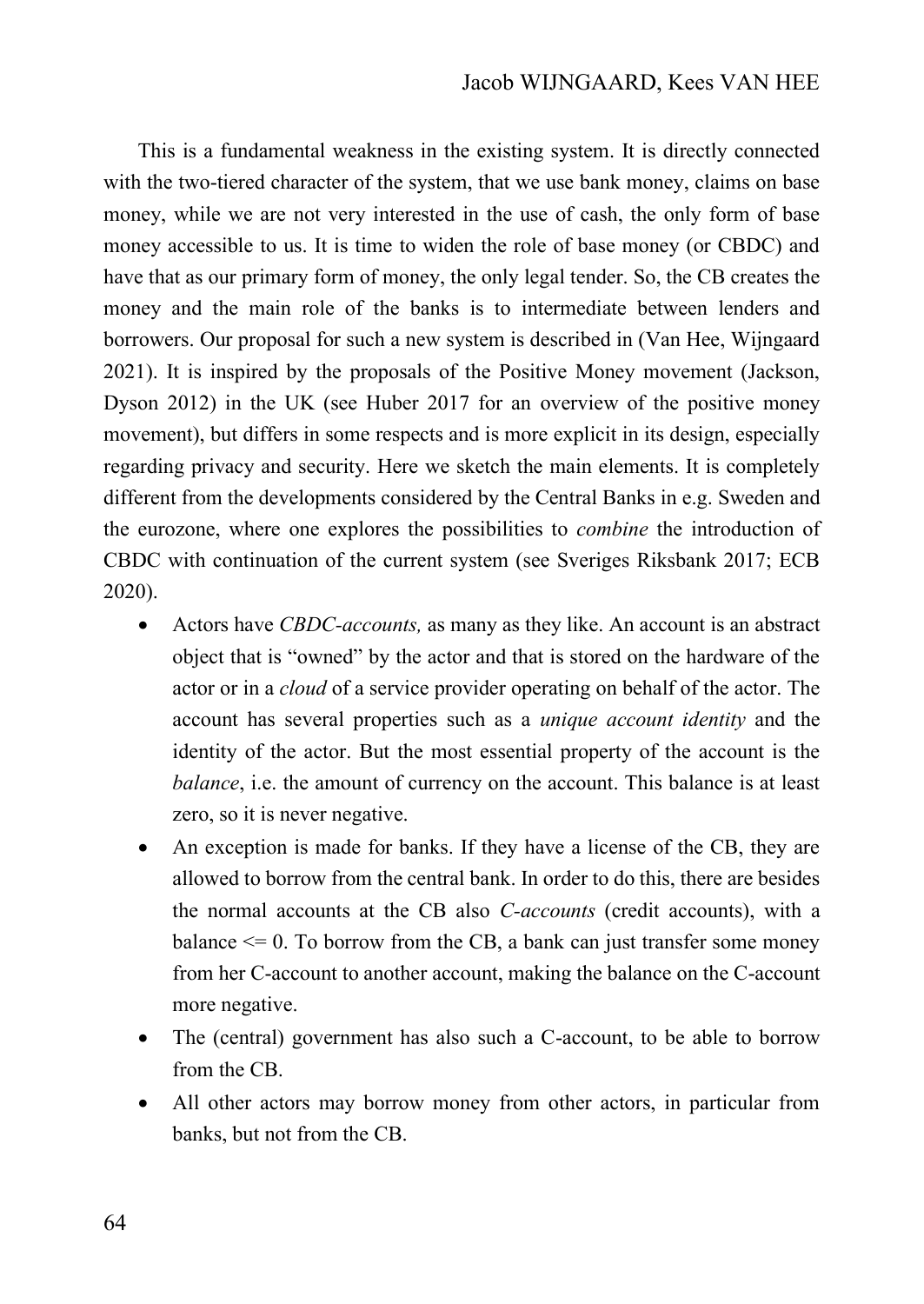This is a fundamental weakness in the existing system. It is directly connected with the two-tiered character of the system, that we use bank money, claims on base money, while we are not very interested in the use of cash, the only form of base money accessible to us. It is time to widen the role of base money (or CBDC) and have that as our primary form of money, the only legal tender. So, the CB creates the money and the main role of the banks is to intermediate between lenders and borrowers. Our proposal for such a new system is described in (Van Hee, Wijngaard 2021). It is inspired by the proposals of the Positive Money movement (Jackson, Dyson 2012) in the UK (see Huber 2017 for an overview of the positive money movement), but differs in some respects and is more explicit in its design, especially regarding privacy and security. Here we sketch the main elements. It is completely different from the developments considered by the Central Banks in e.g. Sweden and the eurozone, where one explores the possibilities to *combine* the introduction of CBDC with continuation of the current system (see Sveriges Riksbank 2017; ECB 2020).

- Actors have *CBDC-accounts,* as many as they like. An account is an abstract object that is "owned" by the actor and that is stored on the hardware of the actor or in a *cloud* of a service provider operating on behalf of the actor. The account has several properties such as a *unique account identity* and the identity of the actor. But the most essential property of the account is the *balance*, i.e. the amount of currency on the account. This balance is at least zero, so it is never negative.
- An exception is made for banks. If they have a license of the CB, they are allowed to borrow from the central bank. In order to do this, there are besides the normal accounts at the CB also *C-accounts* (credit accounts), with a balance  $\leq$  0. To borrow from the CB, a bank can just transfer some money from her C-account to another account, making the balance on the C-account more negative.
- The (central) government has also such a C-account, to be able to borrow from the CB.
- All other actors may borrow money from other actors, in particular from banks, but not from the CB.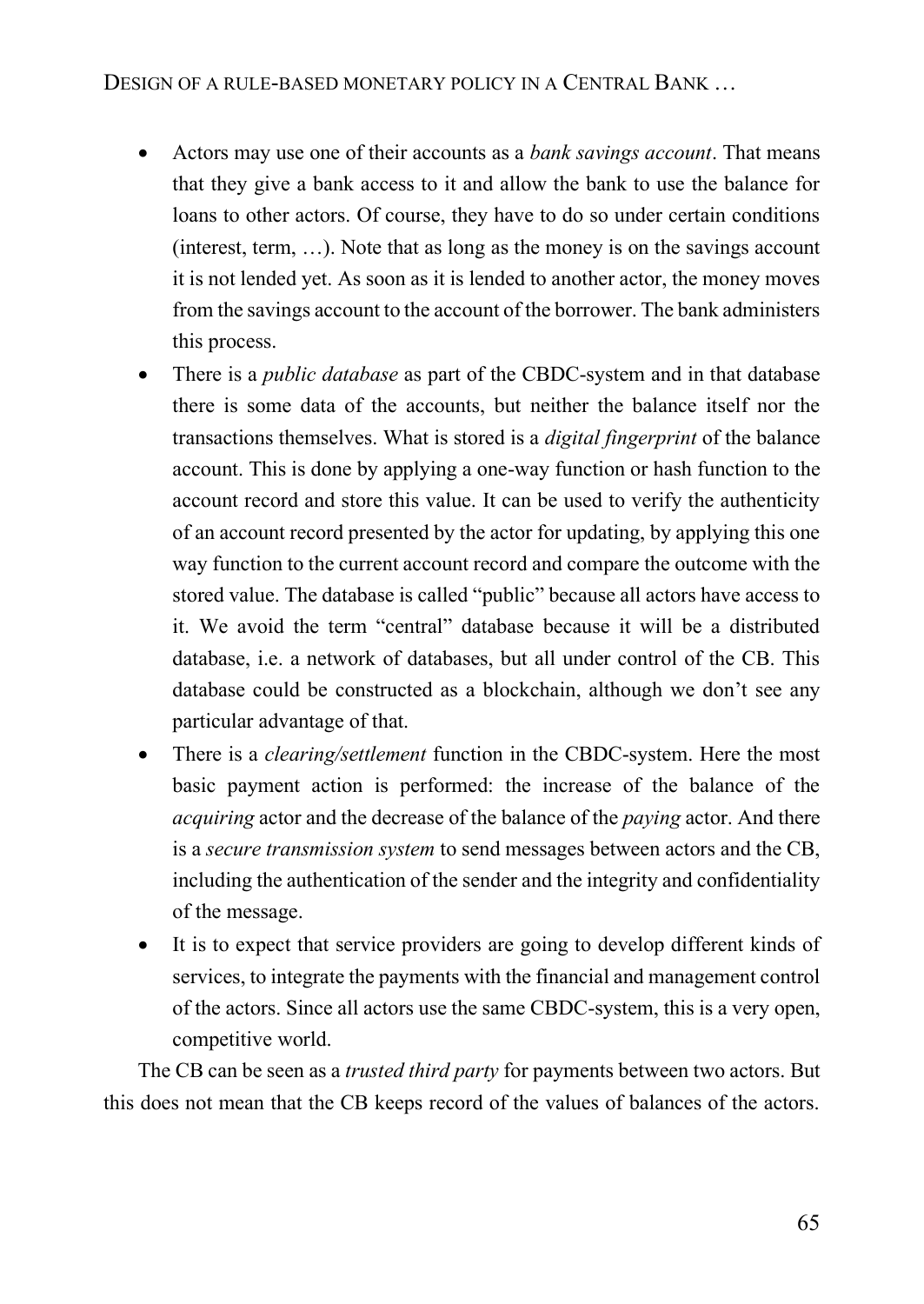- Actors may use one of their accounts as a *bank savings account*. That means that they give a bank access to it and allow the bank to use the balance for loans to other actors. Of course, they have to do so under certain conditions (interest, term, …). Note that as long as the money is on the savings account it is not lended yet. As soon as it is lended to another actor, the money moves from the savings account to the account of the borrower. The bank administers this process.
- There is a *public database* as part of the CBDC-system and in that database there is some data of the accounts, but neither the balance itself nor the transactions themselves. What is stored is a *digital fingerprint* of the balance account. This is done by applying a one-way function or hash function to the account record and store this value. It can be used to verify the authenticity of an account record presented by the actor for updating, by applying this one way function to the current account record and compare the outcome with the stored value. The database is called "public" because all actors have access to it. We avoid the term "central" database because it will be a distributed database, i.e. a network of databases, but all under control of the CB. This database could be constructed as a blockchain, although we don't see any particular advantage of that.
- There is a *clearing/settlement* function in the CBDC-system. Here the most basic payment action is performed: the increase of the balance of the *acquiring* actor and the decrease of the balance of the *paying* actor. And there is a *secure transmission system* to send messages between actors and the CB, including the authentication of the sender and the integrity and confidentiality of the message.
- It is to expect that service providers are going to develop different kinds of services, to integrate the payments with the financial and management control of the actors. Since all actors use the same CBDC-system, this is a very open, competitive world.

The CB can be seen as a *trusted third party* for payments between two actors. But this does not mean that the CB keeps record of the values of balances of the actors.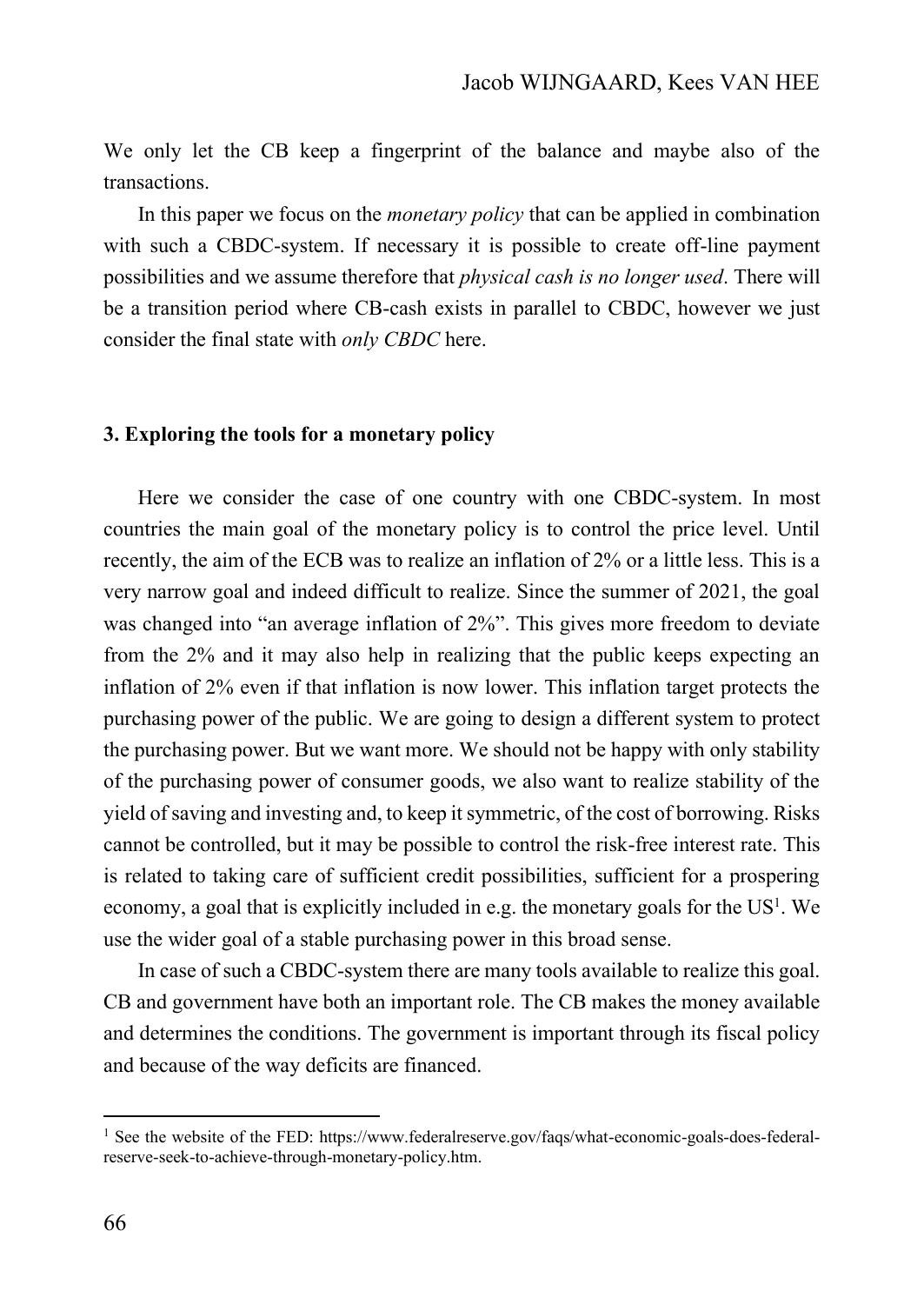We only let the CB keep a fingerprint of the balance and maybe also of the transactions.

In this paper we focus on the *monetary policy* that can be applied in combination with such a CBDC-system. If necessary it is possible to create off-line payment possibilities and we assume therefore that *physical cash is no longer used*. There will be a transition period where CB-cash exists in parallel to CBDC, however we just consider the final state with *only CBDC* here.

#### **3. Exploring the tools for a monetary policy**

Here we consider the case of one country with one CBDC-system. In most countries the main goal of the monetary policy is to control the price level. Until recently, the aim of the ECB was to realize an inflation of 2% or a little less. This is a very narrow goal and indeed difficult to realize. Since the summer of 2021, the goal was changed into "an average inflation of 2%". This gives more freedom to deviate from the 2% and it may also help in realizing that the public keeps expecting an inflation of 2% even if that inflation is now lower. This inflation target protects the purchasing power of the public. We are going to design a different system to protect the purchasing power. But we want more. We should not be happy with only stability of the purchasing power of consumer goods, we also want to realize stability of the yield of saving and investing and, to keep it symmetric, of the cost of borrowing. Risks cannot be controlled, but it may be possible to control the risk-free interest rate. This is related to taking care of sufficient credit possibilities, sufficient for a prospering economy, a goal that is explicitly included in e.g. the monetary goals for the  $US<sup>1</sup>$ . We use the wider goal of a stable purchasing power in this broad sense.

In case of such a CBDC-system there are many tools available to realize this goal. CB and government have both an important role. The CB makes the money available and determines the conditions. The government is important through its fiscal policy and because of the way deficits are financed.

<sup>&</sup>lt;sup>1</sup> See the website of the FED: https://www.federalreserve.gov/faqs/what-economic-goals-does-federalreserve-seek-to-achieve-through-monetary-policy.htm.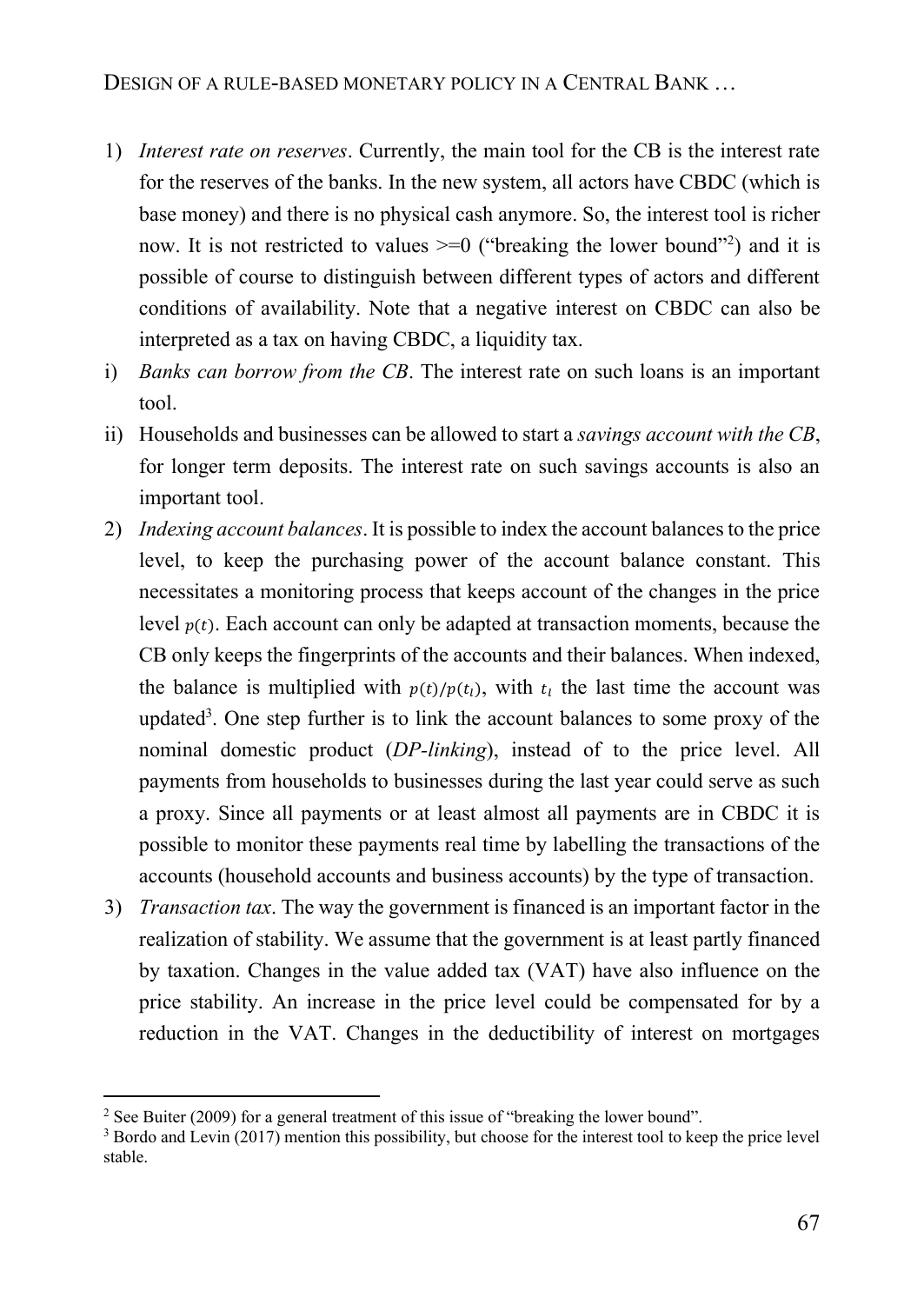- 1) *Interest rate on reserves*. Currently, the main tool for the CB is the interest rate for the reserves of the banks. In the new system, all actors have CBDC (which is base money) and there is no physical cash anymore. So, the interest tool is richer now. It is not restricted to values  $\geq 0$  ("breaking the lower bound"<sup>2</sup>) and it is possible of course to distinguish between different types of actors and different conditions of availability. Note that a negative interest on CBDC can also be interpreted as a tax on having CBDC, a liquidity tax.
- i) *Banks can borrow from the CB*. The interest rate on such loans is an important tool.
- ii) Households and businesses can be allowed to start a *savings account with the CB*, for longer term deposits. The interest rate on such savings accounts is also an important tool.
- 2) *Indexing account balances*. It is possible to index the account balances to the price level, to keep the purchasing power of the account balance constant. This necessitates a monitoring process that keeps account of the changes in the price level  $p(t)$ . Each account can only be adapted at transaction moments, because the CB only keeps the fingerprints of the accounts and their balances. When indexed, the balance is multiplied with  $p(t)/p(t_i)$ , with  $t_i$  the last time the account was updated<sup>3</sup>. One step further is to link the account balances to some proxy of the nominal domestic product (*DP-linking*), instead of to the price level. All payments from households to businesses during the last year could serve as such a proxy. Since all payments or at least almost all payments are in CBDC it is possible to monitor these payments real time by labelling the transactions of the accounts (household accounts and business accounts) by the type of transaction.
- 3) *Transaction tax*. The way the government is financed is an important factor in the realization of stability. We assume that the government is at least partly financed by taxation. Changes in the value added tax (VAT) have also influence on the price stability. An increase in the price level could be compensated for by a reduction in the VAT. Changes in the deductibility of interest on mortgages

<sup>&</sup>lt;sup>2</sup> See Buiter (2009) for a general treatment of this issue of "breaking the lower bound".

<sup>&</sup>lt;sup>3</sup> Bordo and Levin (2017) mention this possibility, but choose for the interest tool to keep the price level stable.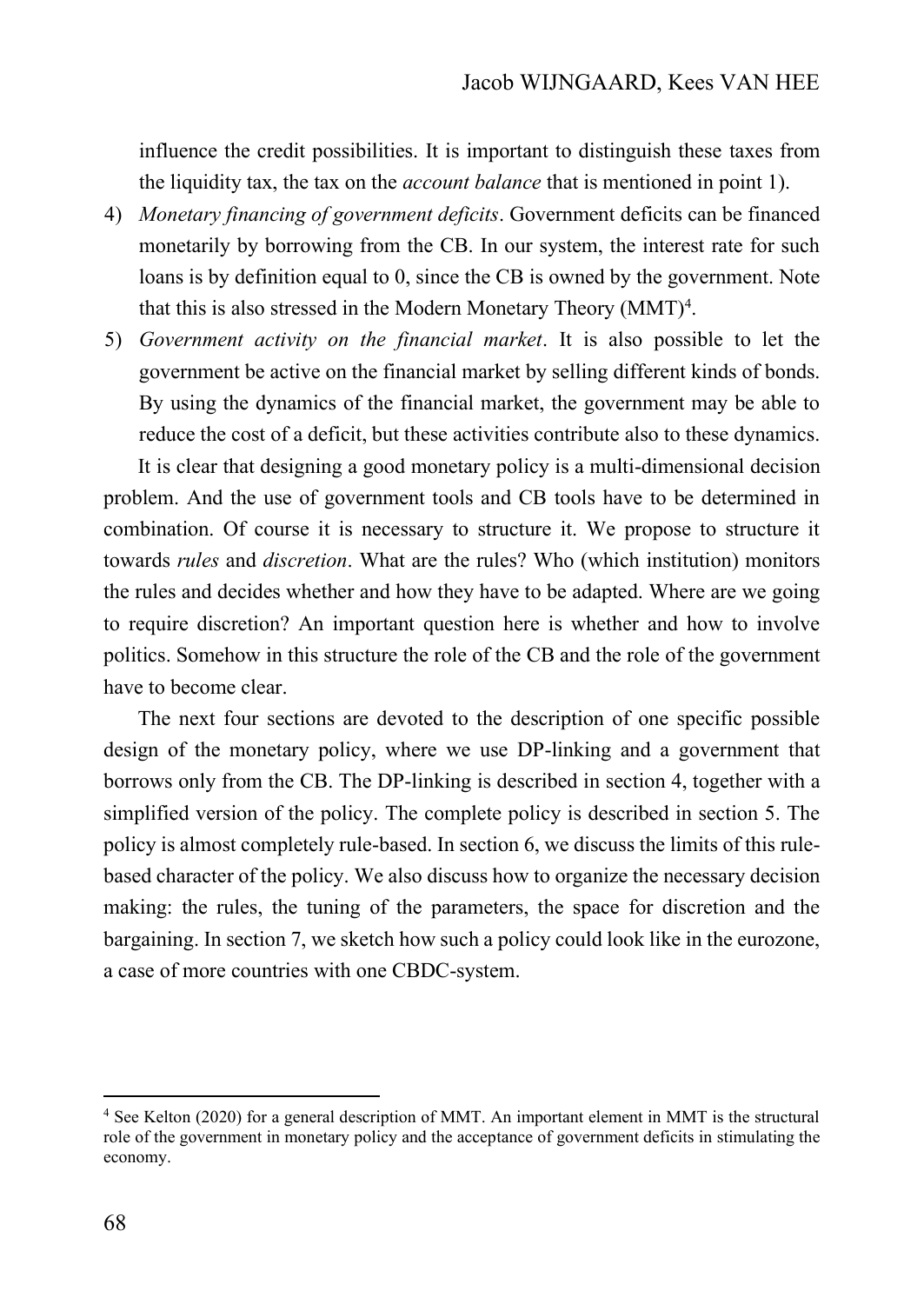influence the credit possibilities. It is important to distinguish these taxes from the liquidity tax, the tax on the *account balance* that is mentioned in point 1).

- 4) *Monetary financing of government deficits*. Government deficits can be financed monetarily by borrowing from the CB. In our system, the interest rate for such loans is by definition equal to 0, since the CB is owned by the government. Note that this is also stressed in the Modern Monetary Theory  $(MMT)^4$ .
- 5) *Government activity on the financial market*. It is also possible to let the government be active on the financial market by selling different kinds of bonds. By using the dynamics of the financial market, the government may be able to reduce the cost of a deficit, but these activities contribute also to these dynamics.

It is clear that designing a good monetary policy is a multi-dimensional decision problem. And the use of government tools and CB tools have to be determined in combination. Of course it is necessary to structure it. We propose to structure it towards *rules* and *discretion*. What are the rules? Who (which institution) monitors the rules and decides whether and how they have to be adapted. Where are we going to require discretion? An important question here is whether and how to involve politics. Somehow in this structure the role of the CB and the role of the government have to become clear.

The next four sections are devoted to the description of one specific possible design of the monetary policy, where we use DP-linking and a government that borrows only from the CB. The DP-linking is described in section 4, together with a simplified version of the policy. The complete policy is described in section 5. The policy is almost completely rule-based. In section 6, we discuss the limits of this rulebased character of the policy. We also discuss how to organize the necessary decision making: the rules, the tuning of the parameters, the space for discretion and the bargaining. In section 7, we sketch how such a policy could look like in the eurozone, a case of more countries with one CBDC-system.

<sup>4</sup> See Kelton (2020) for a general description of MMT. An important element in MMT is the structural role of the government in monetary policy and the acceptance of government deficits in stimulating the economy.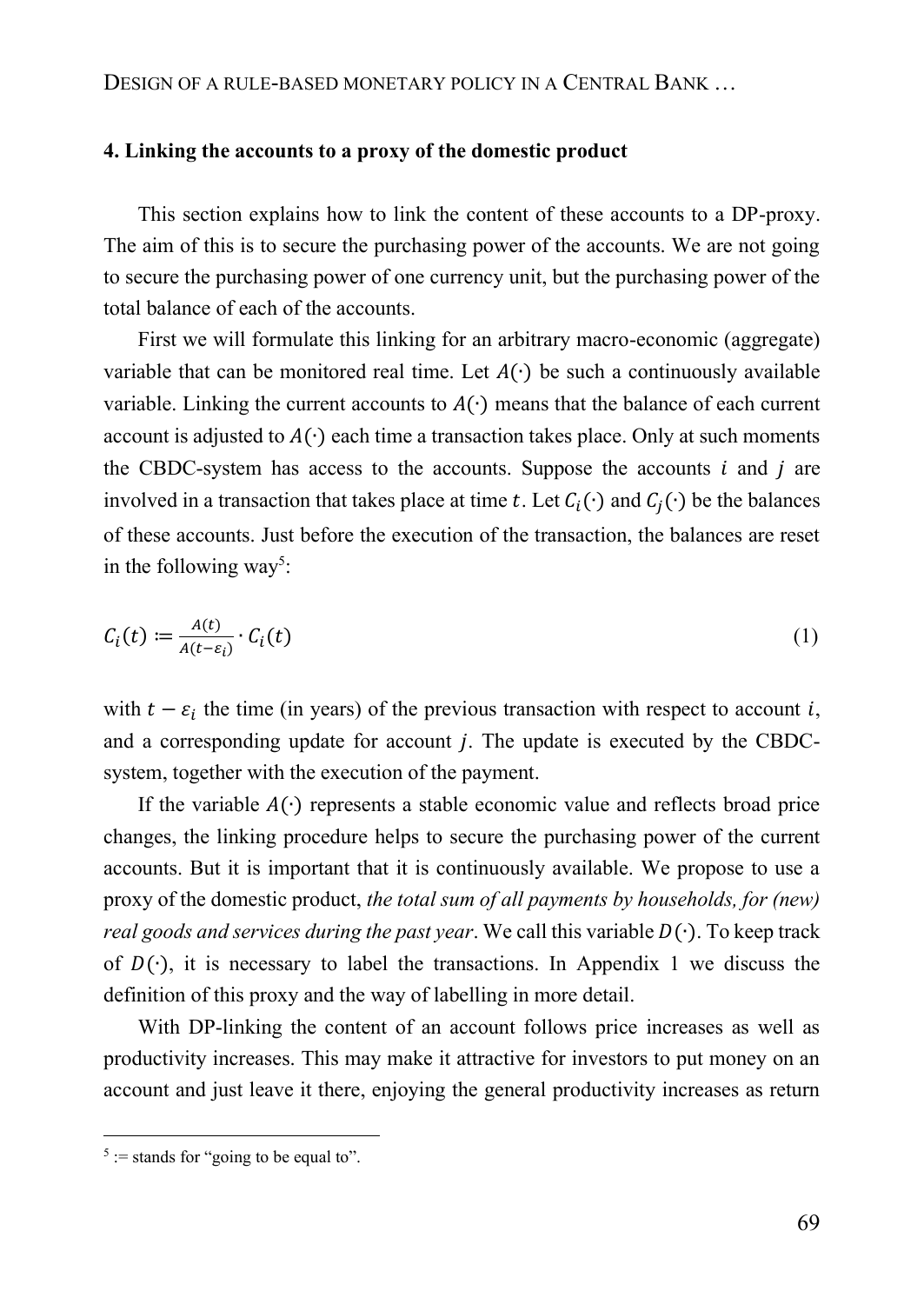#### **4. Linking the accounts to a proxy of the domestic product**

This section explains how to link the content of these accounts to a DP-proxy. The aim of this is to secure the purchasing power of the accounts. We are not going to secure the purchasing power of one currency unit, but the purchasing power of the total balance of each of the accounts.

First we will formulate this linking for an arbitrary macro-economic (aggregate) variable that can be monitored real time. Let  $A(\cdot)$  be such a continuously available variable. Linking the current accounts to  $A(\cdot)$  means that the balance of each current account is adjusted to  $A(\cdot)$  each time a transaction takes place. Only at such moments the CBDC-system has access to the accounts. Suppose the accounts  $i$  and  $j$  are involved in a transaction that takes place at time t. Let  $C_i(\cdot)$  and  $C_i(\cdot)$  be the balances of these accounts. Just before the execution of the transaction, the balances are reset in the following way<sup>5</sup>:

$$
C_i(t) := \frac{A(t)}{A(t - \varepsilon_i)} \cdot C_i(t) \tag{1}
$$

with  $t - \varepsilon_i$  the time (in years) of the previous transaction with respect to account *i*, and a corresponding update for account  $j$ . The update is executed by the CBDCsystem, together with the execution of the payment.

If the variable  $A(·)$  represents a stable economic value and reflects broad price changes, the linking procedure helps to secure the purchasing power of the current accounts. But it is important that it is continuously available. We propose to use a proxy of the domestic product, *the total sum of all payments by households, for (new) real goods and services during the past year*. We call this variable D( $·$ ). To keep track of  $D(·)$ , it is necessary to label the transactions. In Appendix 1 we discuss the definition of this proxy and the way of labelling in more detail.

With DP-linking the content of an account follows price increases as well as productivity increases. This may make it attractive for investors to put money on an account and just leave it there, enjoying the general productivity increases as return

 $5$  := stands for "going to be equal to".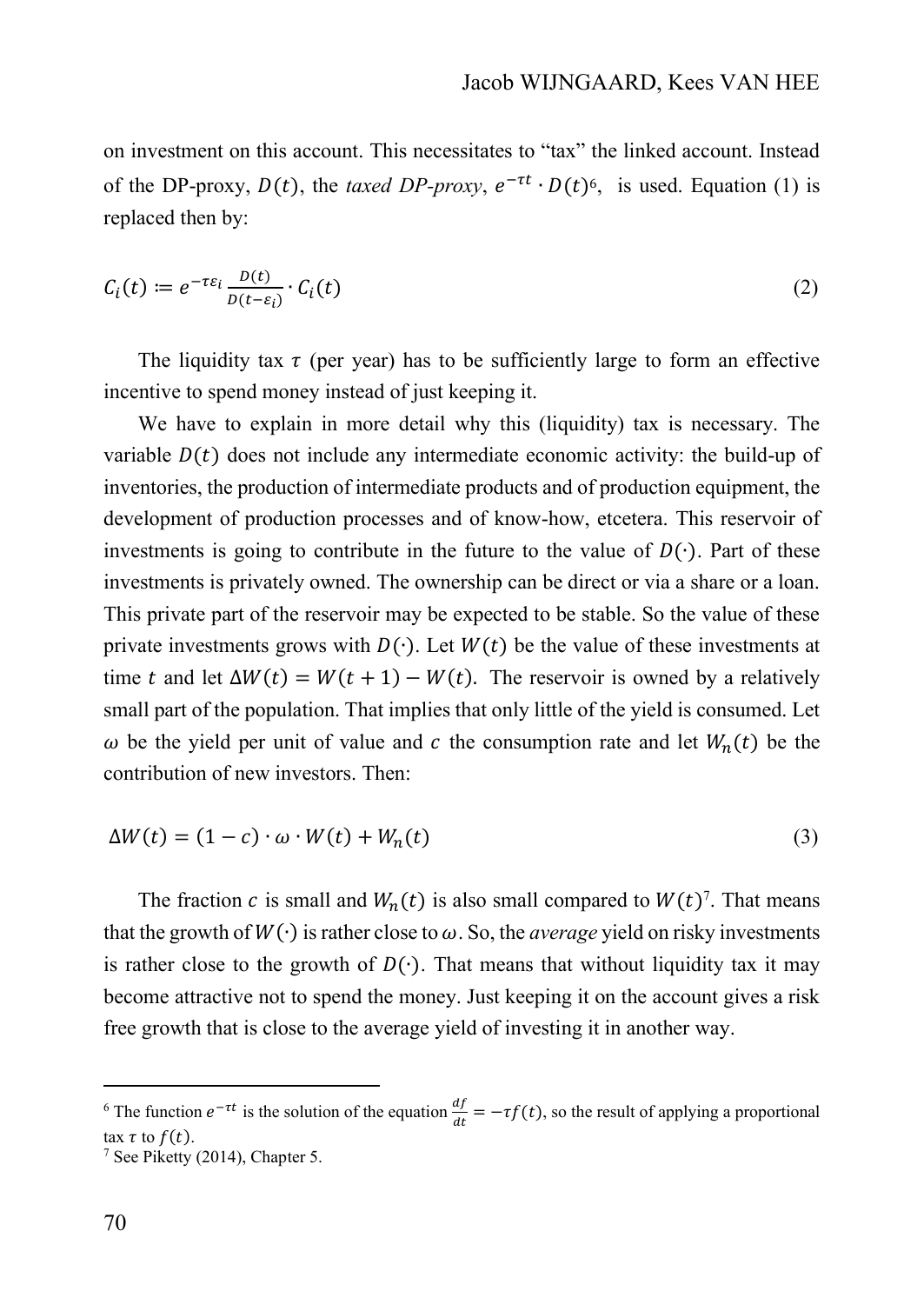on investment on this account. This necessitates to "tax" the linked account. Instead of the DP-proxy,  $D(t)$ , the *taxed DP-proxy*,  $e^{-\tau t} \cdot D(t)$ <sup>6</sup>, is used. Equation (1) is replaced then by:

$$
C_i(t) := e^{-\tau \varepsilon_i} \frac{D(t)}{D(t - \varepsilon_i)} \cdot C_i(t)
$$
\n<sup>(2)</sup>

The liquidity tax  $\tau$  (per year) has to be sufficiently large to form an effective incentive to spend money instead of just keeping it.

We have to explain in more detail why this (liquidity) tax is necessary. The variable  $D(t)$  does not include any intermediate economic activity: the build-up of inventories, the production of intermediate products and of production equipment, the development of production processes and of know-how, etcetera. This reservoir of investments is going to contribute in the future to the value of  $D(\cdot)$ . Part of these investments is privately owned. The ownership can be direct or via a share or a loan. This private part of the reservoir may be expected to be stable. So the value of these private investments grows with  $D(·)$ . Let  $W(t)$  be the value of these investments at time t and let  $\Delta W(t) = W(t + 1) - W(t)$ . The reservoir is owned by a relatively small part of the population. That implies that only little of the yield is consumed. Let  $\omega$  be the yield per unit of value and c the consumption rate and let  $W_n(t)$  be the contribution of new investors. Then:

$$
\Delta W(t) = (1 - c) \cdot \omega \cdot W(t) + W_n(t) \tag{3}
$$

The fraction c is small and  $W_n(t)$  is also small compared to  $W(t)^7$ . That means that the growth of  $W(\cdot)$  is rather close to  $\omega$ . So, the *average* yield on risky investments is rather close to the growth of  $D(·)$ . That means that without liquidity tax it may become attractive not to spend the money. Just keeping it on the account gives a risk free growth that is close to the average yield of investing it in another way.

<sup>&</sup>lt;sup>6</sup> The function  $e^{-\tau t}$  is the solution of the equation  $\frac{df}{dt} = -\tau f(t)$ , so the result of applying a proportional tax  $\tau$  to  $f(t)$ .

 $7$  See Piketty (2014), Chapter 5.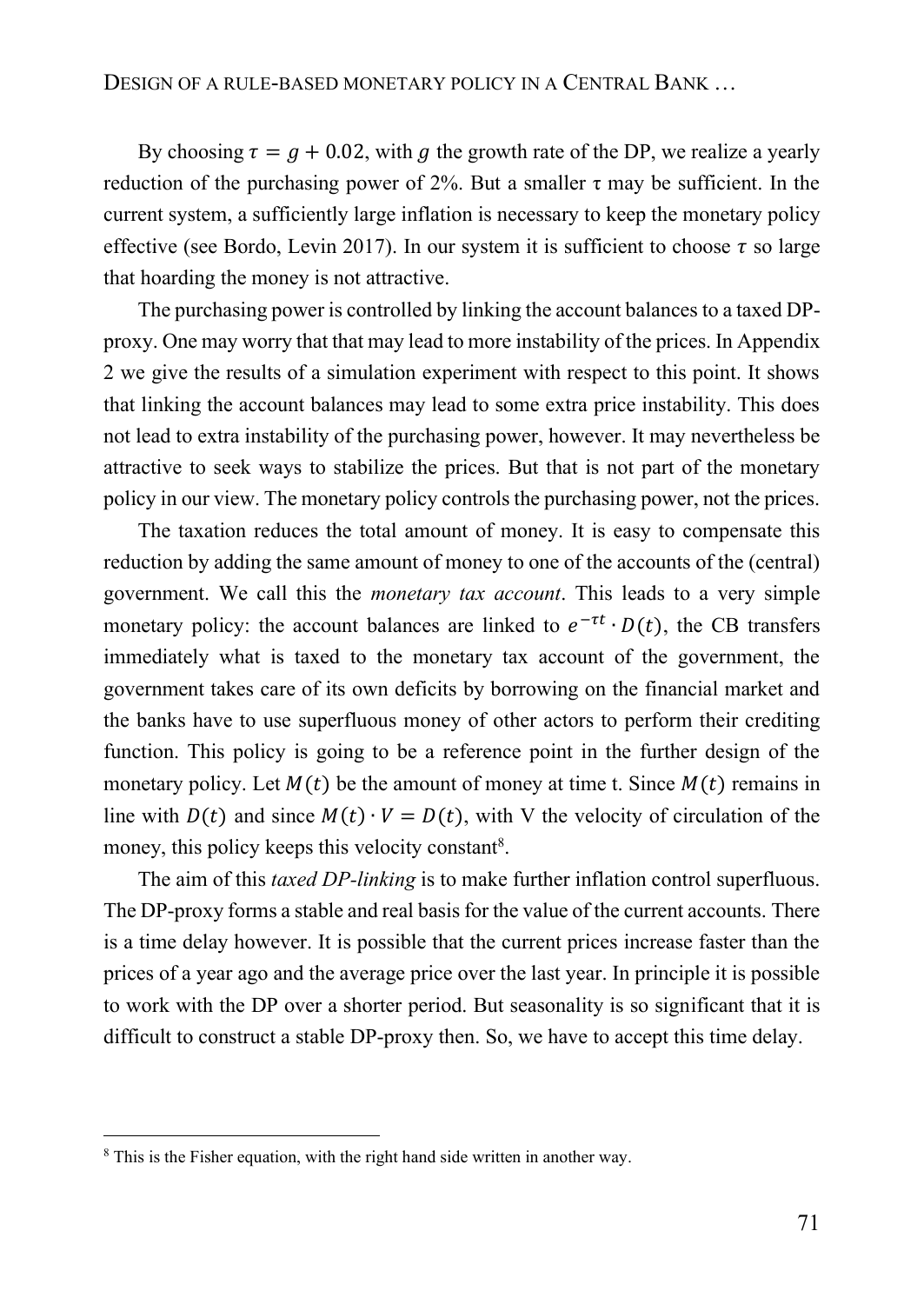By choosing  $\tau = q + 0.02$ , with q the growth rate of the DP, we realize a yearly reduction of the purchasing power of 2%. But a smaller τ may be sufficient. In the current system, a sufficiently large inflation is necessary to keep the monetary policy effective (see Bordo, Levin 2017). In our system it is sufficient to choose  $\tau$  so large that hoarding the money is not attractive.

The purchasing power is controlled by linking the account balances to a taxed DPproxy. One may worry that that may lead to more instability of the prices. In Appendix 2 we give the results of a simulation experiment with respect to this point. It shows that linking the account balances may lead to some extra price instability. This does not lead to extra instability of the purchasing power, however. It may nevertheless be attractive to seek ways to stabilize the prices. But that is not part of the monetary policy in our view. The monetary policy controls the purchasing power, not the prices.

The taxation reduces the total amount of money. It is easy to compensate this reduction by adding the same amount of money to one of the accounts of the (central) government. We call this the *monetary tax account*. This leads to a very simple monetary policy: the account balances are linked to  $e^{-\tau t} \cdot D(t)$ , the CB transfers immediately what is taxed to the monetary tax account of the government, the government takes care of its own deficits by borrowing on the financial market and the banks have to use superfluous money of other actors to perform their crediting function. This policy is going to be a reference point in the further design of the monetary policy. Let  $M(t)$  be the amount of money at time t. Since  $M(t)$  remains in line with  $D(t)$  and since  $M(t) \cdot V = D(t)$ , with V the velocity of circulation of the money, this policy keeps this velocity constant<sup>8</sup>.

The aim of this *taxed DP-linking* is to make further inflation control superfluous. The DP-proxy forms a stable and real basis for the value of the current accounts. There is a time delay however. It is possible that the current prices increase faster than the prices of a year ago and the average price over the last year. In principle it is possible to work with the DP over a shorter period. But seasonality is so significant that it is difficult to construct a stable DP-proxy then. So, we have to accept this time delay.

<sup>&</sup>lt;sup>8</sup> This is the Fisher equation, with the right hand side written in another way.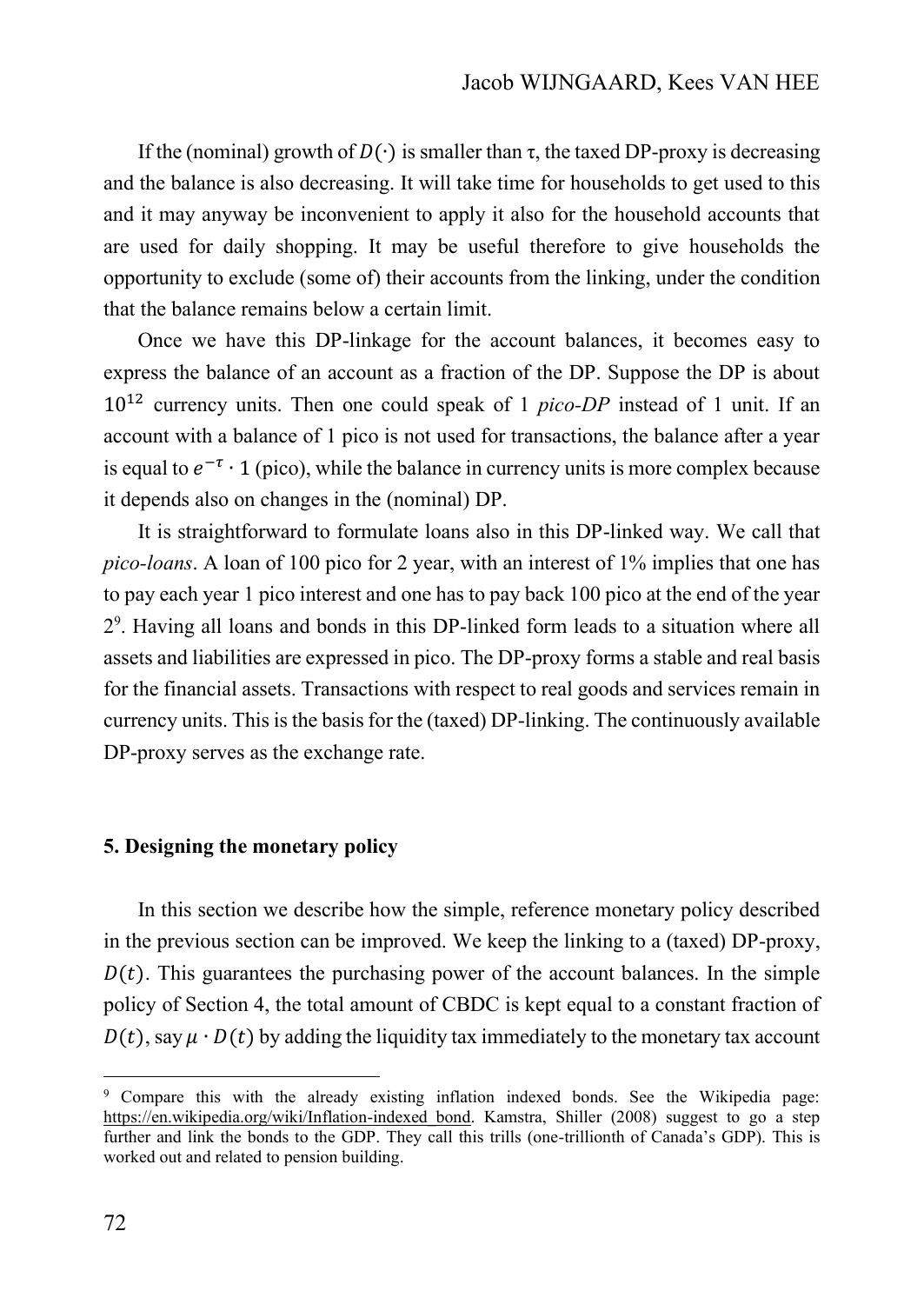If the (nominal) growth of  $D(\cdot)$  is smaller than  $\tau$ , the taxed DP-proxy is decreasing and the balance is also decreasing. It will take time for households to get used to this and it may anyway be inconvenient to apply it also for the household accounts that are used for daily shopping. It may be useful therefore to give households the opportunity to exclude (some of) their accounts from the linking, under the condition that the balance remains below a certain limit.

Once we have this DP-linkage for the account balances, it becomes easy to express the balance of an account as a fraction of the DP. Suppose the DP is about 10<sup>12</sup> currency units. Then one could speak of 1 *pico-DP* instead of 1 unit. If an account with a balance of 1 pico is not used for transactions, the balance after a year is equal to  $e^{-\tau} \cdot 1$  (pico), while the balance in currency units is more complex because it depends also on changes in the (nominal) DP.

It is straightforward to formulate loans also in this DP-linked way. We call that *pico-loans*. A loan of 100 pico for 2 year, with an interest of 1% implies that one has to pay each year 1 pico interest and one has to pay back 100 pico at the end of the year 2 9 . Having all loans and bonds in this DP-linked form leads to a situation where all assets and liabilities are expressed in pico. The DP-proxy forms a stable and real basis for the financial assets. Transactions with respect to real goods and services remain in currency units. This is the basis for the (taxed) DP-linking. The continuously available DP-proxy serves as the exchange rate.

#### **5. Designing the monetary policy**

In this section we describe how the simple, reference monetary policy described in the previous section can be improved. We keep the linking to a (taxed) DP-proxy,  $D(t)$ . This guarantees the purchasing power of the account balances. In the simple policy of Section 4, the total amount of CBDC is kept equal to a constant fraction of  $D(t)$ , say  $\mu \cdot D(t)$  by adding the liquidity tax immediately to the monetary tax account

<sup>9</sup> Compare this with the already existing inflation indexed bonds. See the Wikipedia page: [https://en.wikipedia.org/wiki/Inflation-indexed\\_bond.](https://en.wikipedia.org/wiki/Inflation-indexed_bond) Kamstra, Shiller (2008) suggest to go a step further and link the bonds to the GDP. They call this trills (one-trillionth of Canada's GDP). This is worked out and related to pension building.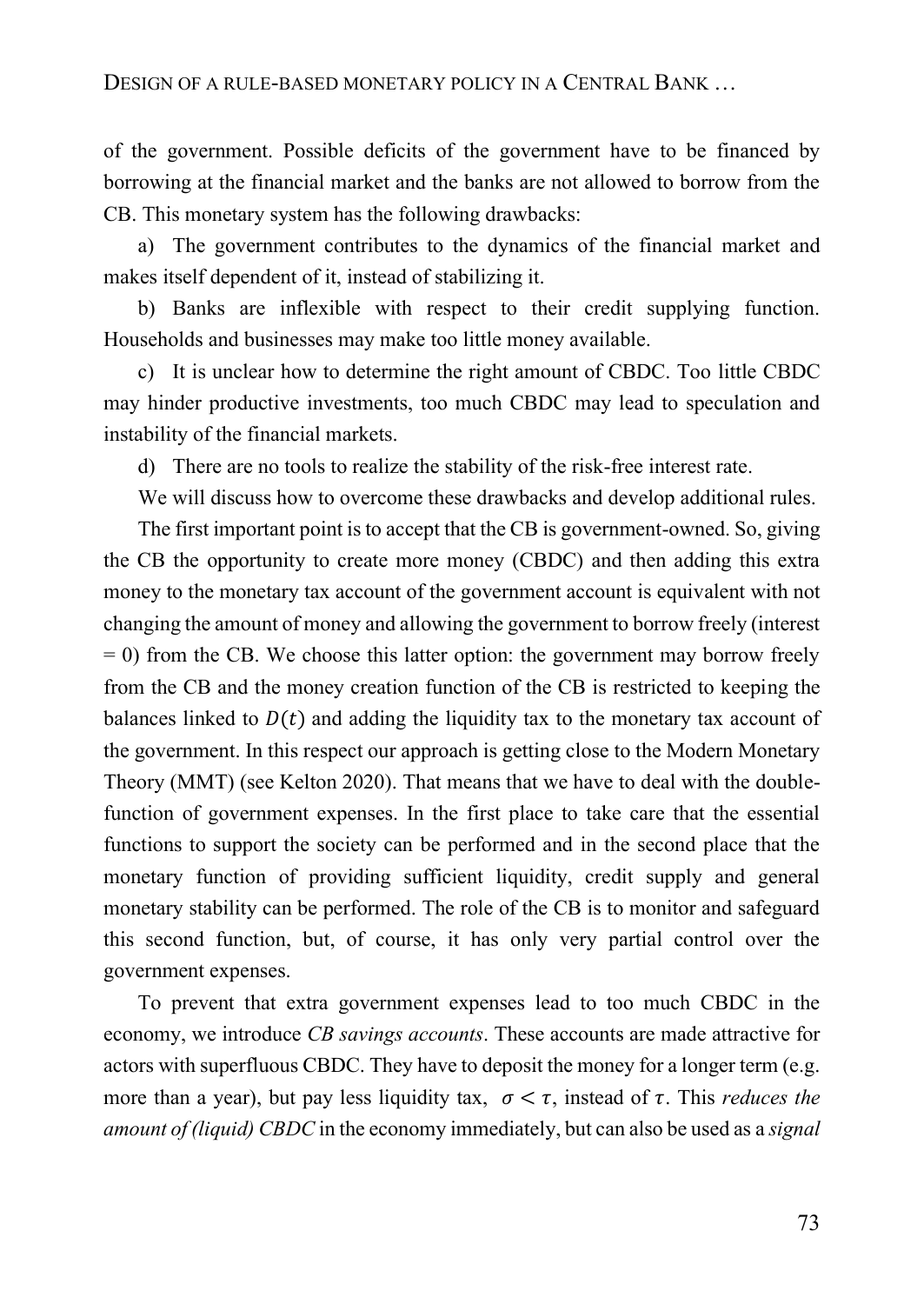of the government. Possible deficits of the government have to be financed by borrowing at the financial market and the banks are not allowed to borrow from the CB. This monetary system has the following drawbacks:

a) The government contributes to the dynamics of the financial market and makes itself dependent of it, instead of stabilizing it.

b) Banks are inflexible with respect to their credit supplying function. Households and businesses may make too little money available.

c) It is unclear how to determine the right amount of CBDC. Too little CBDC may hinder productive investments, too much CBDC may lead to speculation and instability of the financial markets.

d) There are no tools to realize the stability of the risk-free interest rate.

We will discuss how to overcome these drawbacks and develop additional rules.

The first important point is to accept that the CB is government-owned. So, giving the CB the opportunity to create more money (CBDC) and then adding this extra money to the monetary tax account of the government account is equivalent with not changing the amount of money and allowing the government to borrow freely (interest  $= 0$ ) from the CB. We choose this latter option: the government may borrow freely from the CB and the money creation function of the CB is restricted to keeping the balances linked to  $D(t)$  and adding the liquidity tax to the monetary tax account of the government. In this respect our approach is getting close to the Modern Monetary Theory (MMT) (see Kelton 2020). That means that we have to deal with the doublefunction of government expenses. In the first place to take care that the essential functions to support the society can be performed and in the second place that the monetary function of providing sufficient liquidity, credit supply and general monetary stability can be performed. The role of the CB is to monitor and safeguard this second function, but, of course, it has only very partial control over the government expenses.

To prevent that extra government expenses lead to too much CBDC in the economy, we introduce *CB savings accounts*. These accounts are made attractive for actors with superfluous CBDC. They have to deposit the money for a longer term (e.g. more than a year), but pay less liquidity tax,  $\sigma < \tau$ , instead of  $\tau$ . This *reduces the amount of (liquid) CBDC* in the economy immediately, but can also be used as a *signal*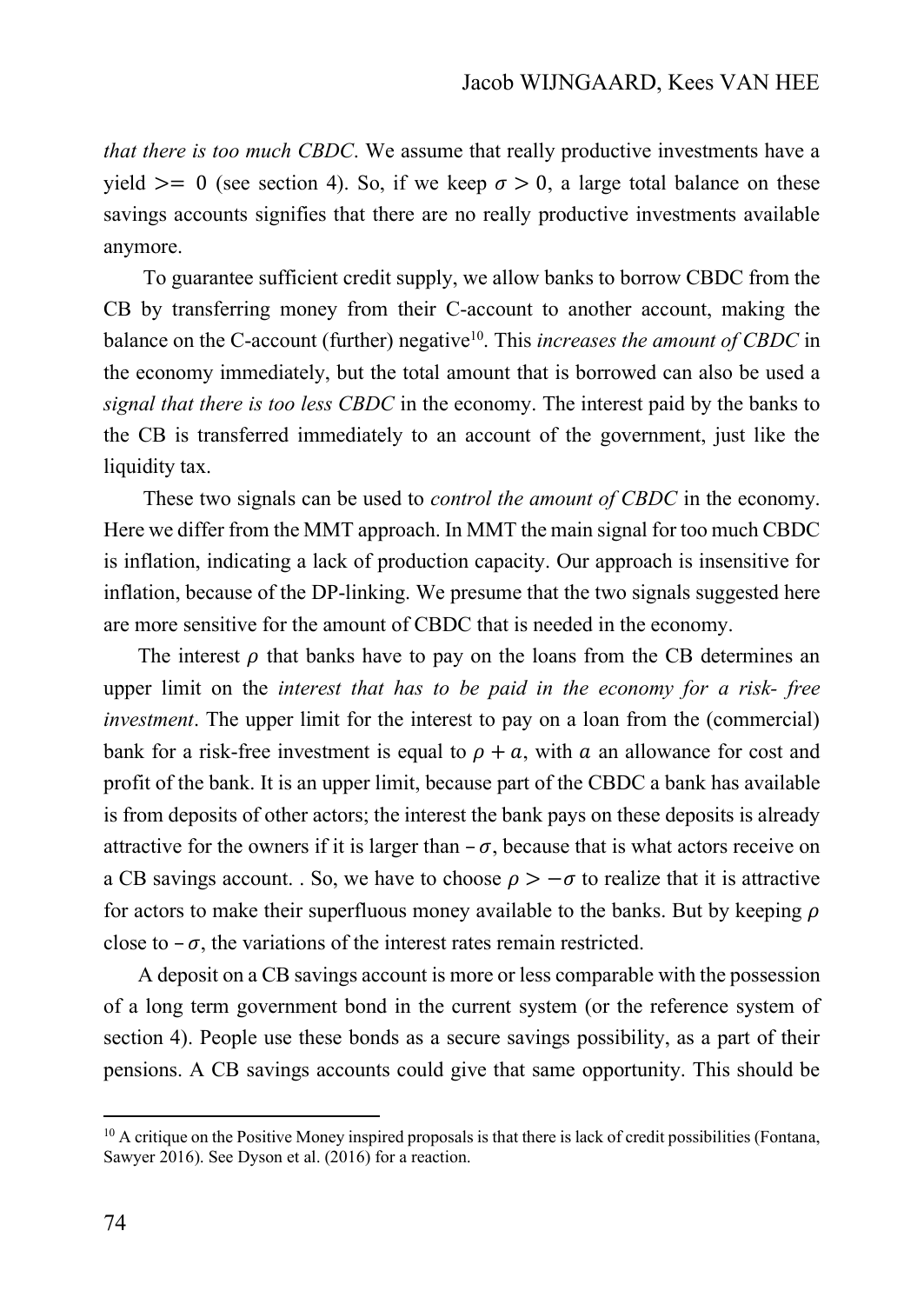*that there is too much CBDC*. We assume that really productive investments have a yield  $\geq$  0 (see section 4). So, if we keep  $\sigma > 0$ , a large total balance on these savings accounts signifies that there are no really productive investments available anymore.

To guarantee sufficient credit supply, we allow banks to borrow CBDC from the CB by transferring money from their C-account to another account, making the balance on the C-account (further) negative<sup>10</sup>. This *increases the amount of CBDC* in the economy immediately, but the total amount that is borrowed can also be used a *signal that there is too less CBDC* in the economy. The interest paid by the banks to the CB is transferred immediately to an account of the government, just like the liquidity tax.

These two signals can be used to *control the amount of CBDC* in the economy. Here we differ from the MMT approach. In MMT the main signal for too much CBDC is inflation, indicating a lack of production capacity. Our approach is insensitive for inflation, because of the DP-linking. We presume that the two signals suggested here are more sensitive for the amount of CBDC that is needed in the economy.

The interest  $\rho$  that banks have to pay on the loans from the CB determines an upper limit on the *interest that has to be paid in the economy for a risk- free investment*. The upper limit for the interest to pay on a loan from the (commercial) bank for a risk-free investment is equal to  $\rho + a$ , with a an allowance for cost and profit of the bank. It is an upper limit, because part of the CBDC a bank has available is from deposits of other actors; the interest the bank pays on these deposits is already attractive for the owners if it is larger than  $-\sigma$ , because that is what actors receive on a CB savings account. . So, we have to choose  $\rho > -\sigma$  to realize that it is attractive for actors to make their superfluous money available to the banks. But by keeping  $\rho$ close to  $-\sigma$ , the variations of the interest rates remain restricted.

A deposit on a CB savings account is more or less comparable with the possession of a long term government bond in the current system (or the reference system of section 4). People use these bonds as a secure savings possibility, as a part of their pensions. A CB savings accounts could give that same opportunity. This should be

 $10$  A critique on the Positive Money inspired proposals is that there is lack of credit possibilities (Fontana, Sawyer 2016). See Dyson et al. (2016) for a reaction.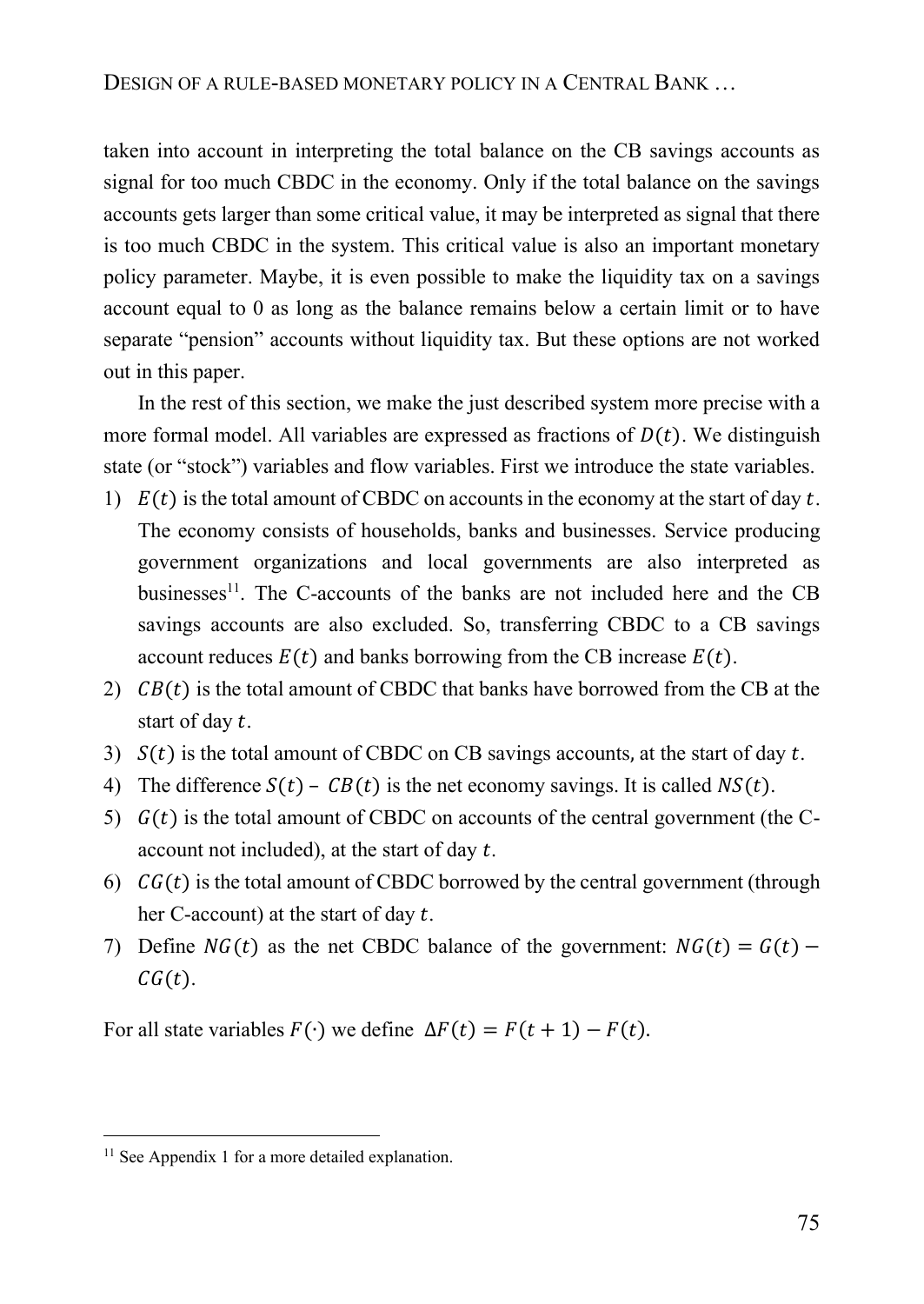taken into account in interpreting the total balance on the CB savings accounts as signal for too much CBDC in the economy. Only if the total balance on the savings accounts gets larger than some critical value, it may be interpreted as signal that there is too much CBDC in the system. This critical value is also an important monetary policy parameter. Maybe, it is even possible to make the liquidity tax on a savings account equal to 0 as long as the balance remains below a certain limit or to have separate "pension" accounts without liquidity tax. But these options are not worked out in this paper.

In the rest of this section, we make the just described system more precise with a more formal model. All variables are expressed as fractions of  $D(t)$ . We distinguish state (or "stock") variables and flow variables. First we introduce the state variables.

- 1)  $E(t)$  is the total amount of CBDC on accounts in the economy at the start of day t. The economy consists of households, banks and businesses. Service producing government organizations and local governments are also interpreted as businesses $^{11}$ . The C-accounts of the banks are not included here and the CB savings accounts are also excluded. So, transferring CBDC to a CB savings account reduces  $E(t)$  and banks borrowing from the CB increase  $E(t)$ .
- 2)  $CB(t)$  is the total amount of CBDC that banks have borrowed from the CB at the start of day  $t$ .
- 3)  $S(t)$  is the total amount of CBDC on CB savings accounts, at the start of day t.
- 4) The difference  $S(t) CB(t)$  is the net economy savings. It is called  $NS(t)$ .
- 5)  $G(t)$  is the total amount of CBDC on accounts of the central government (the Caccount not included), at the start of day  $t$ .
- 6)  $CG(t)$  is the total amount of CBDC borrowed by the central government (through her C-account) at the start of day  $t$ .
- 7) Define  $NG(t)$  as the net CBDC balance of the government:  $NG(t) = G(t)$   $CG(t).$

For all state variables  $F(\cdot)$  we define  $\Delta F(t) = F(t + 1) - F(t)$ .

<sup>&</sup>lt;sup>11</sup> See Appendix 1 for a more detailed explanation.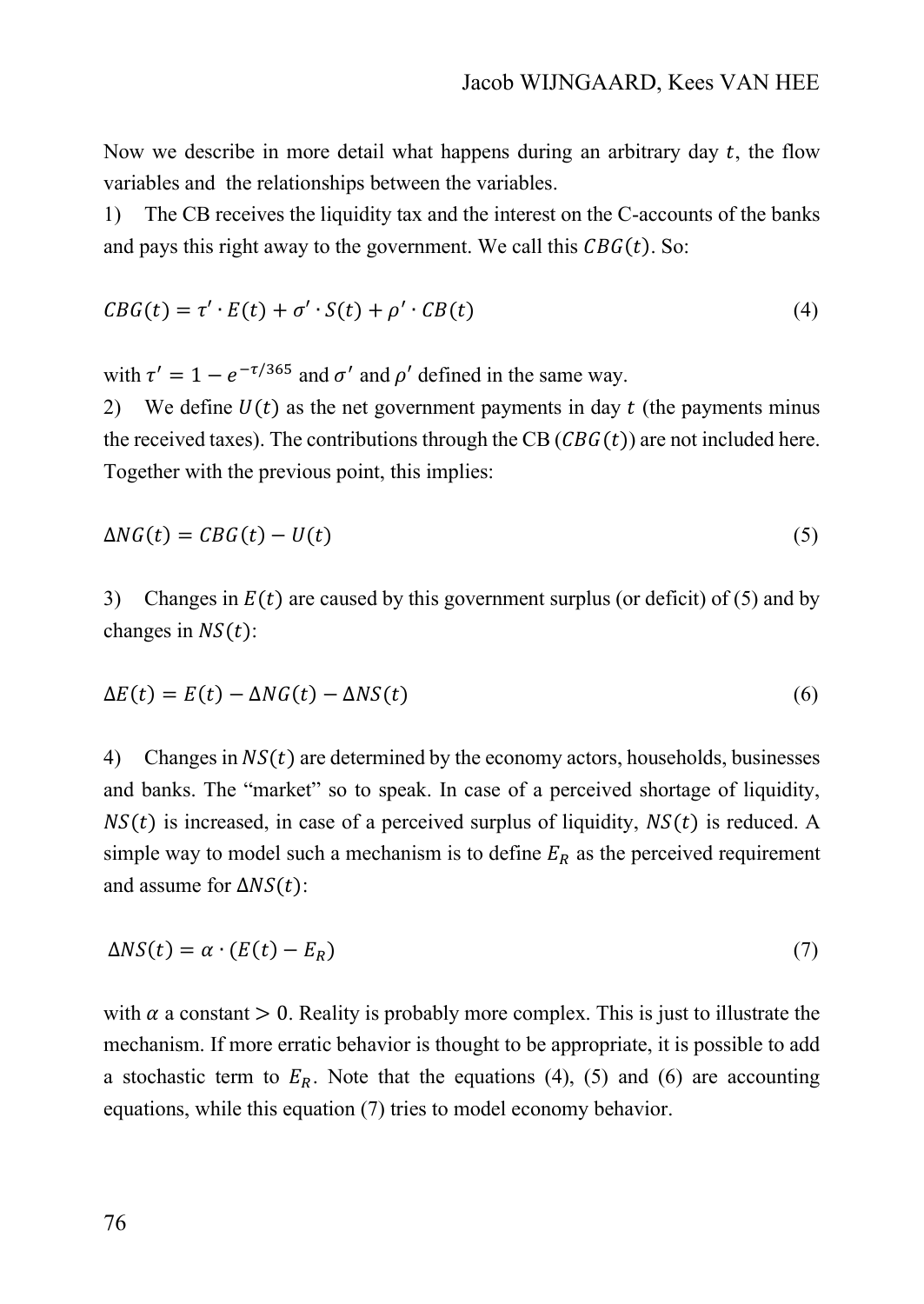Now we describe in more detail what happens during an arbitrary day  $t$ , the flow variables and the relationships between the variables.

1) The CB receives the liquidity tax and the interest on the C-accounts of the banks and pays this right away to the government. We call this  $CBG(t)$ . So:

$$
CBG(t) = \tau' \cdot E(t) + \sigma' \cdot S(t) + \rho' \cdot CB(t)
$$
\n<sup>(4)</sup>

with  $\tau' = 1 - e^{-\tau/365}$  and  $\sigma'$  and  $\rho'$  defined in the same way.

2) We define  $U(t)$  as the net government payments in day  $t$  (the payments minus the received taxes). The contributions through the CB  $(CBG(t))$  are not included here. Together with the previous point, this implies:

$$
\Delta NG(t) = CBG(t) - U(t) \tag{5}
$$

3) Changes in  $E(t)$  are caused by this government surplus (or deficit) of (5) and by changes in  $NS(t)$ :

$$
\Delta E(t) = E(t) - \Delta NG(t) - \Delta NS(t) \tag{6}
$$

4) Changes in  $NS(t)$  are determined by the economy actors, households, businesses and banks. The "market" so to speak. In case of a perceived shortage of liquidity,  $NS(t)$  is increased, in case of a perceived surplus of liquidity,  $NS(t)$  is reduced. A simple way to model such a mechanism is to define  $E_R$  as the perceived requirement and assume for  $\Delta NS(t)$ :

$$
\Delta NS(t) = \alpha \cdot (E(t) - E_R) \tag{7}
$$

with  $\alpha$  a constant  $> 0$ . Reality is probably more complex. This is just to illustrate the mechanism. If more erratic behavior is thought to be appropriate, it is possible to add a stochastic term to  $E_R$ . Note that the equations (4), (5) and (6) are accounting equations, while this equation (7) tries to model economy behavior.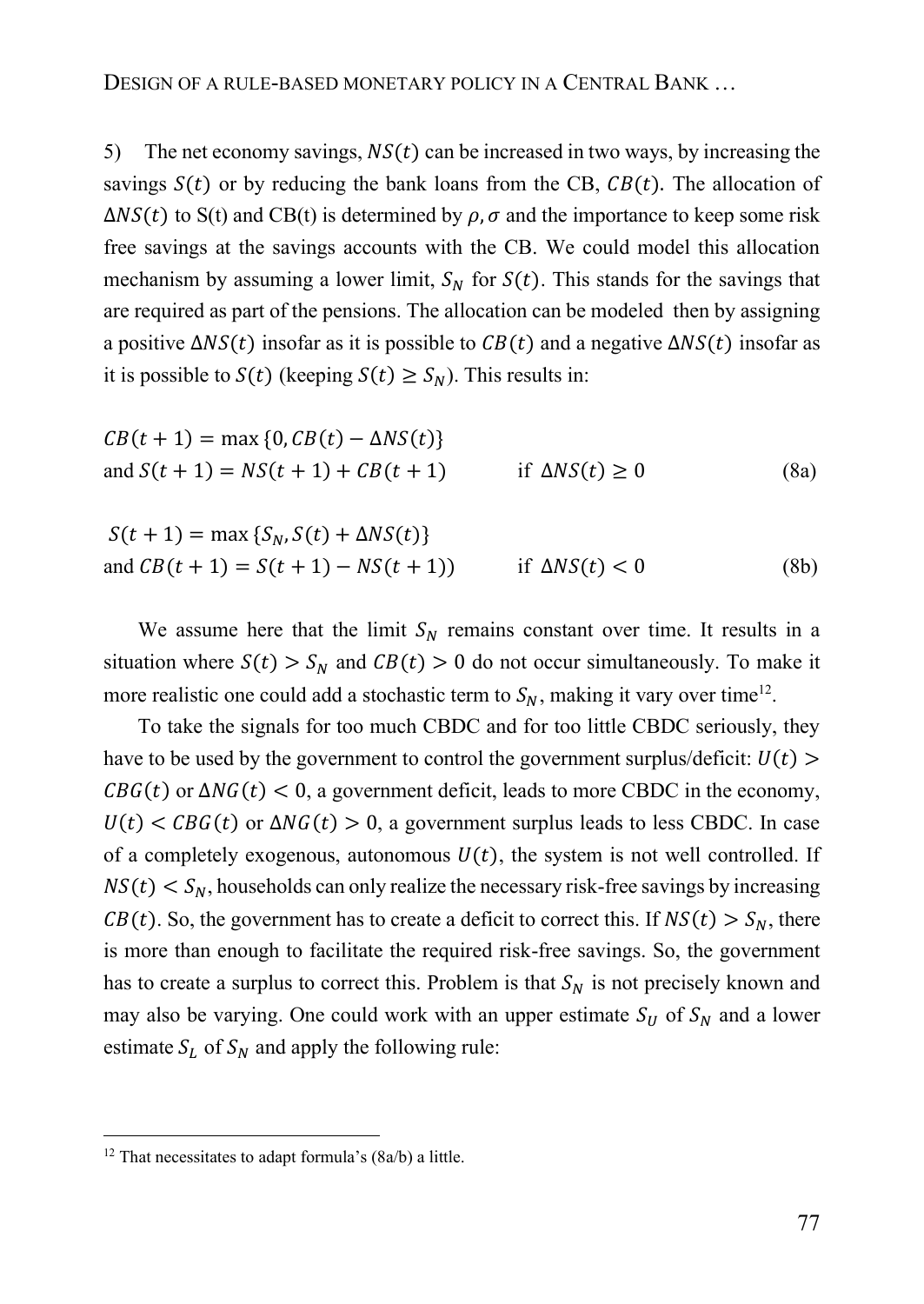5) The net economy savings,  $NS(t)$  can be increased in two ways, by increasing the savings  $S(t)$  or by reducing the bank loans from the CB,  $CB(t)$ . The allocation of  $\Delta NS(t)$  to S(t) and CB(t) is determined by  $\rho$ ,  $\sigma$  and the importance to keep some risk free savings at the savings accounts with the CB. We could model this allocation mechanism by assuming a lower limit,  $S_N$  for  $S(t)$ . This stands for the savings that are required as part of the pensions. The allocation can be modeled then by assigning a positive  $\Delta NS(t)$  insofar as it is possible to  $CB(t)$  and a negative  $\Delta NS(t)$  insofar as it is possible to  $S(t)$  (keeping  $S(t) \geq S_N$ ). This results in:

$$
CB(t + 1) = \max\{0, CB(t) - \Delta NS(t)\}
$$
  
and  $S(t + 1) = NS(t + 1) + CB(t + 1)$  if  $\Delta NS(t) \ge 0$  (8a)

$$
S(t+1) = \max \{S_N, S(t) + \Delta NS(t)\}
$$
  
and 
$$
CB(t+1) = S(t+1) - NS(t+1)
$$
 if 
$$
\Delta NS(t) < 0
$$
 (8b)

We assume here that the limit  $S_N$  remains constant over time. It results in a situation where  $S(t) > S_N$  and  $CB(t) > 0$  do not occur simultaneously. To make it more realistic one could add a stochastic term to  $S_N$ , making it vary over time<sup>12</sup>.

To take the signals for too much CBDC and for too little CBDC seriously, they have to be used by the government to control the government surplus/deficit:  $U(t)$  $CBG(t)$  or  $\Delta NG(t) < 0$ , a government deficit, leads to more CBDC in the economy,  $U(t) < CBG(t)$  or  $\Delta NG(t) > 0$ , a government surplus leads to less CBDC. In case of a completely exogenous, autonomous  $U(t)$ , the system is not well controlled. If  $NS(t) < S_N$ , households can only realize the necessary risk-free savings by increasing  $CB(t)$ . So, the government has to create a deficit to correct this. If  $NS(t) > S_N$ , there is more than enough to facilitate the required risk-free savings. So, the government has to create a surplus to correct this. Problem is that  $S_N$  is not precisely known and may also be varying. One could work with an upper estimate  $S_U$  of  $S_N$  and a lower estimate  $S_L$  of  $S_N$  and apply the following rule:

 $12$  That necessitates to adapt formula's (8a/b) a little.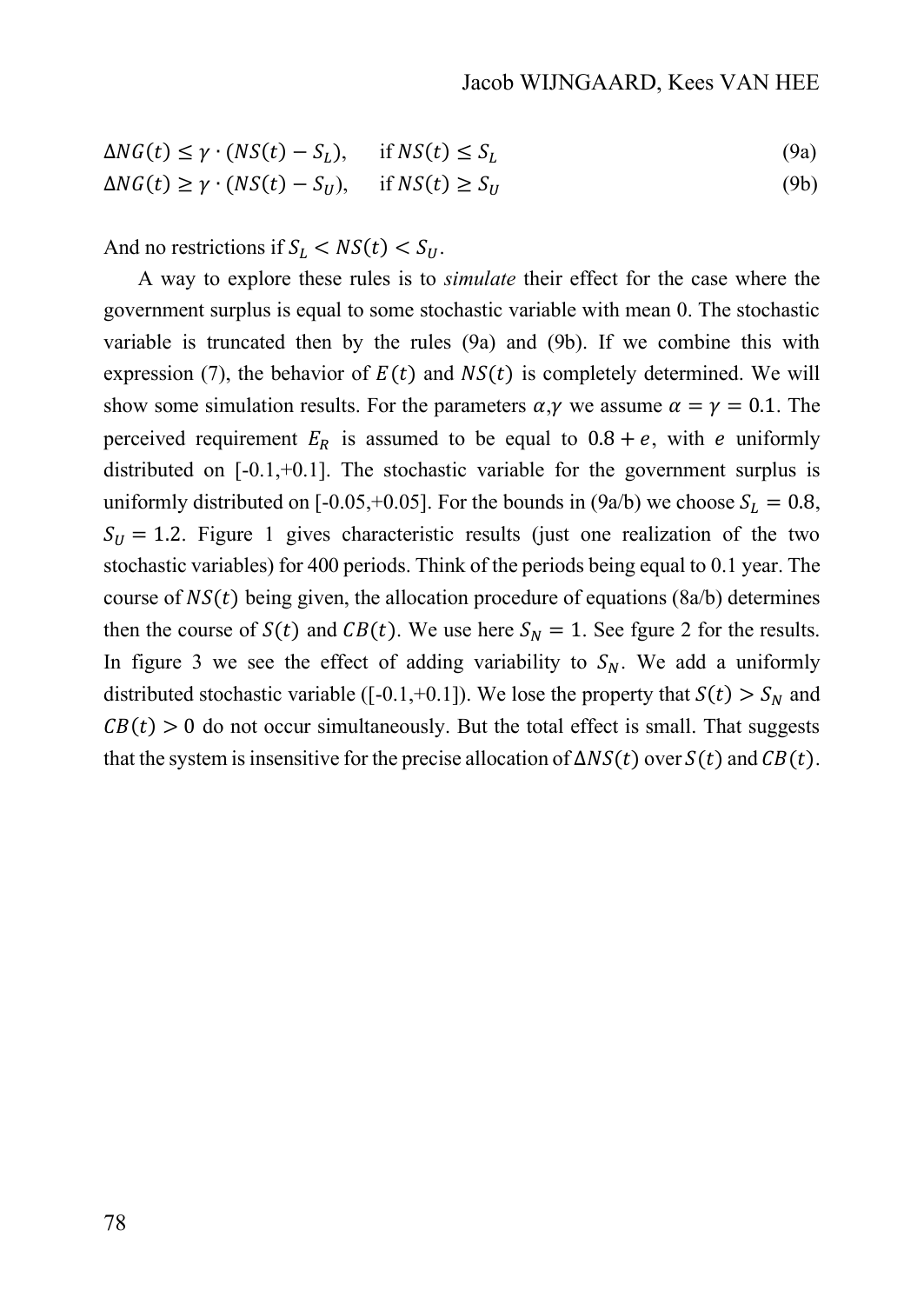$$
\Delta NG(t) \le \gamma \cdot (NS(t) - S_L), \quad \text{if } NS(t) \le S_L \tag{9a}
$$

$$
\Delta NG(t) \ge \gamma \cdot (NS(t) - S_U), \quad \text{if } NS(t) \ge S_U \tag{9b}
$$

And no restrictions if  $S_L < NS(t) < S_U$ .

A way to explore these rules is to *simulate* their effect for the case where the government surplus is equal to some stochastic variable with mean 0. The stochastic variable is truncated then by the rules (9a) and (9b). If we combine this with expression (7), the behavior of  $E(t)$  and  $NS(t)$  is completely determined. We will show some simulation results. For the parameters  $\alpha, \gamma$  we assume  $\alpha = \gamma = 0.1$ . The perceived requirement  $E_R$  is assumed to be equal to  $0.8 + e$ , with e uniformly distributed on [-0.1,+0.1]. The stochastic variable for the government surplus is uniformly distributed on [-0.05,+0.05]. For the bounds in (9a/b) we choose  $S_L = 0.8$ ,  $S_{II} = 1.2$ . Figure 1 gives characteristic results (just one realization of the two stochastic variables) for 400 periods. Think of the periods being equal to 0.1 year. The course of  $NS(t)$  being given, the allocation procedure of equations (8a/b) determines then the course of  $S(t)$  and  $CB(t)$ . We use here  $S_N = 1$ . See fgure 2 for the results. In figure 3 we see the effect of adding variability to  $S_N$ . We add a uniformly distributed stochastic variable ([-0.1,+0.1]). We lose the property that  $S(t) > S_N$  and  $CB(t) > 0$  do not occur simultaneously. But the total effect is small. That suggests that the system is insensitive for the precise allocation of  $\Delta NS(t)$  over  $S(t)$  and  $CB(t)$ .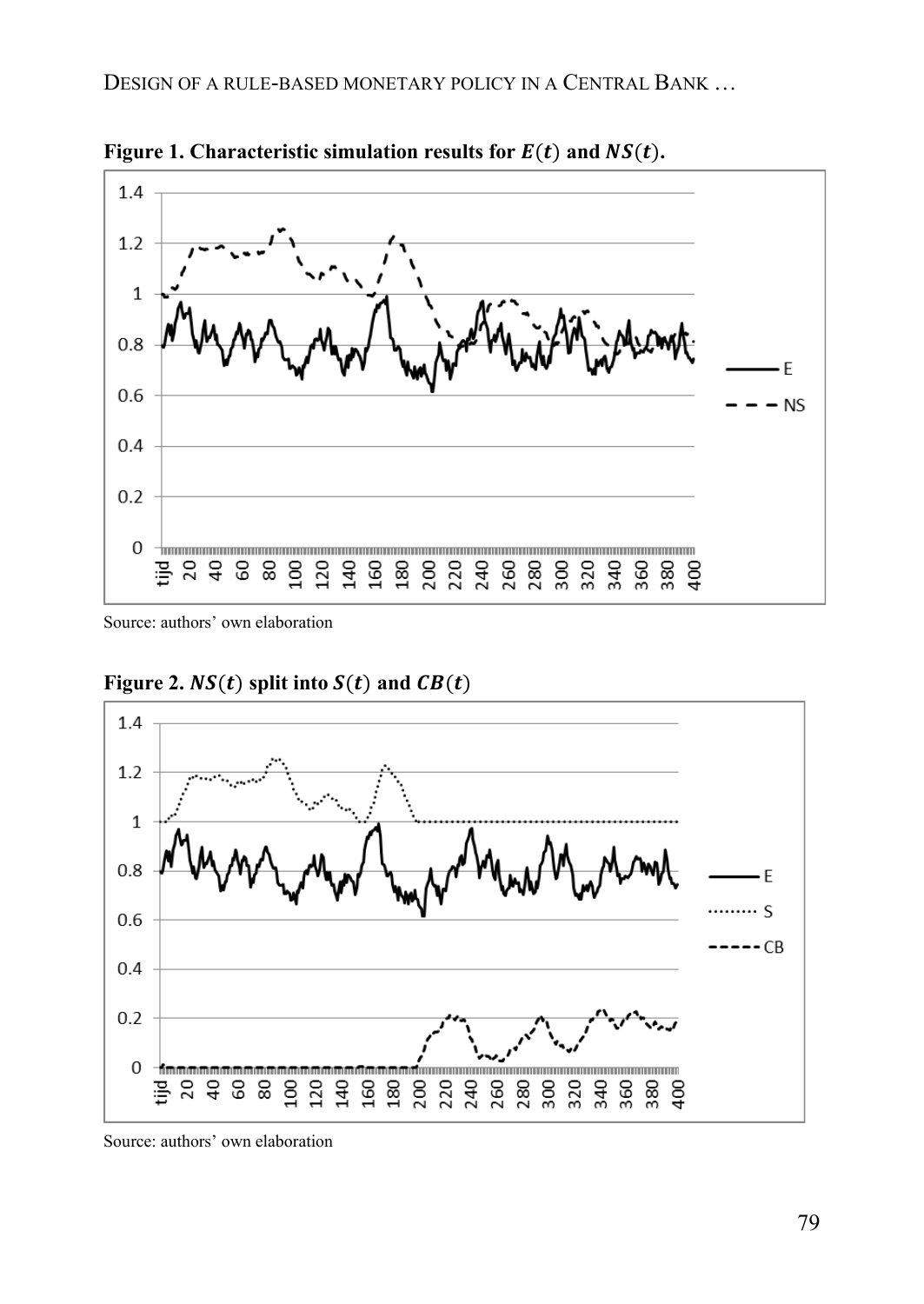

**Figure 1. Characteristic simulation results for**  $E(t)$  **and**  $NS(t)$ **.** 

Source: authors' own elaboration



**Figure 2.**  $NS(t)$  split into  $S(t)$  and  $CB(t)$ 

Source: authors' own elaboration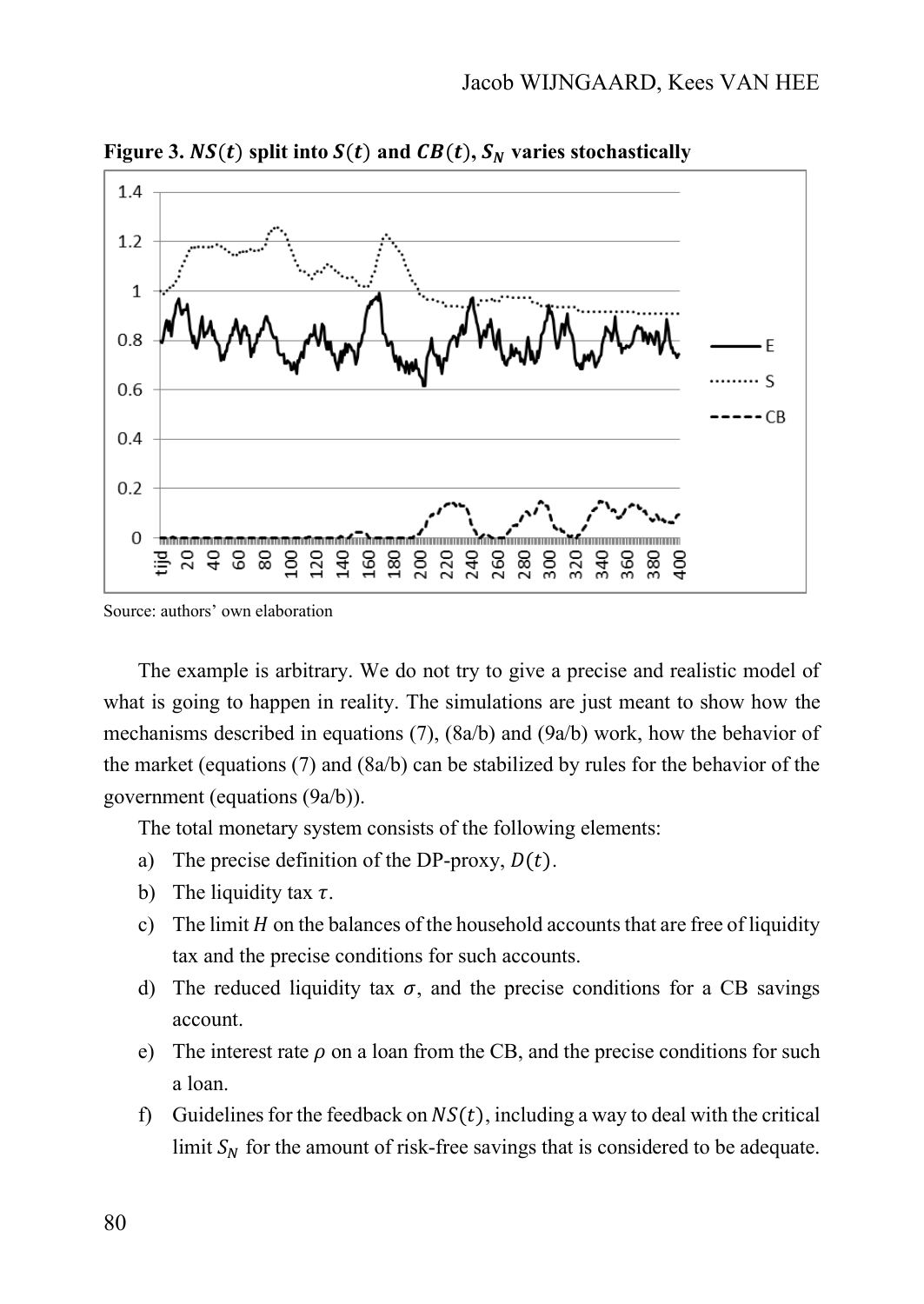

**Figure 3.**  $NS(t)$  split into  $S(t)$  and  $CB(t)$ ,  $S_N$  varies stochastically

Source: authors' own elaboration

The example is arbitrary. We do not try to give a precise and realistic model of what is going to happen in reality. The simulations are just meant to show how the mechanisms described in equations (7), (8a/b) and (9a/b) work, how the behavior of the market (equations  $(7)$  and  $(8a/b)$  can be stabilized by rules for the behavior of the government (equations (9a/b)).

The total monetary system consists of the following elements:

- a) The precise definition of the DP-proxy,  $D(t)$ .
- b) The liquidity tax  $\tau$ .
- c) The limit  $H$  on the balances of the household accounts that are free of liquidity tax and the precise conditions for such accounts.
- d) The reduced liquidity tax  $\sigma$ , and the precise conditions for a CB savings account.
- e) The interest rate  $\rho$  on a loan from the CB, and the precise conditions for such a loan.
- f) Guidelines for the feedback on  $NS(t)$ , including a way to deal with the critical limit  $S_N$  for the amount of risk-free savings that is considered to be adequate.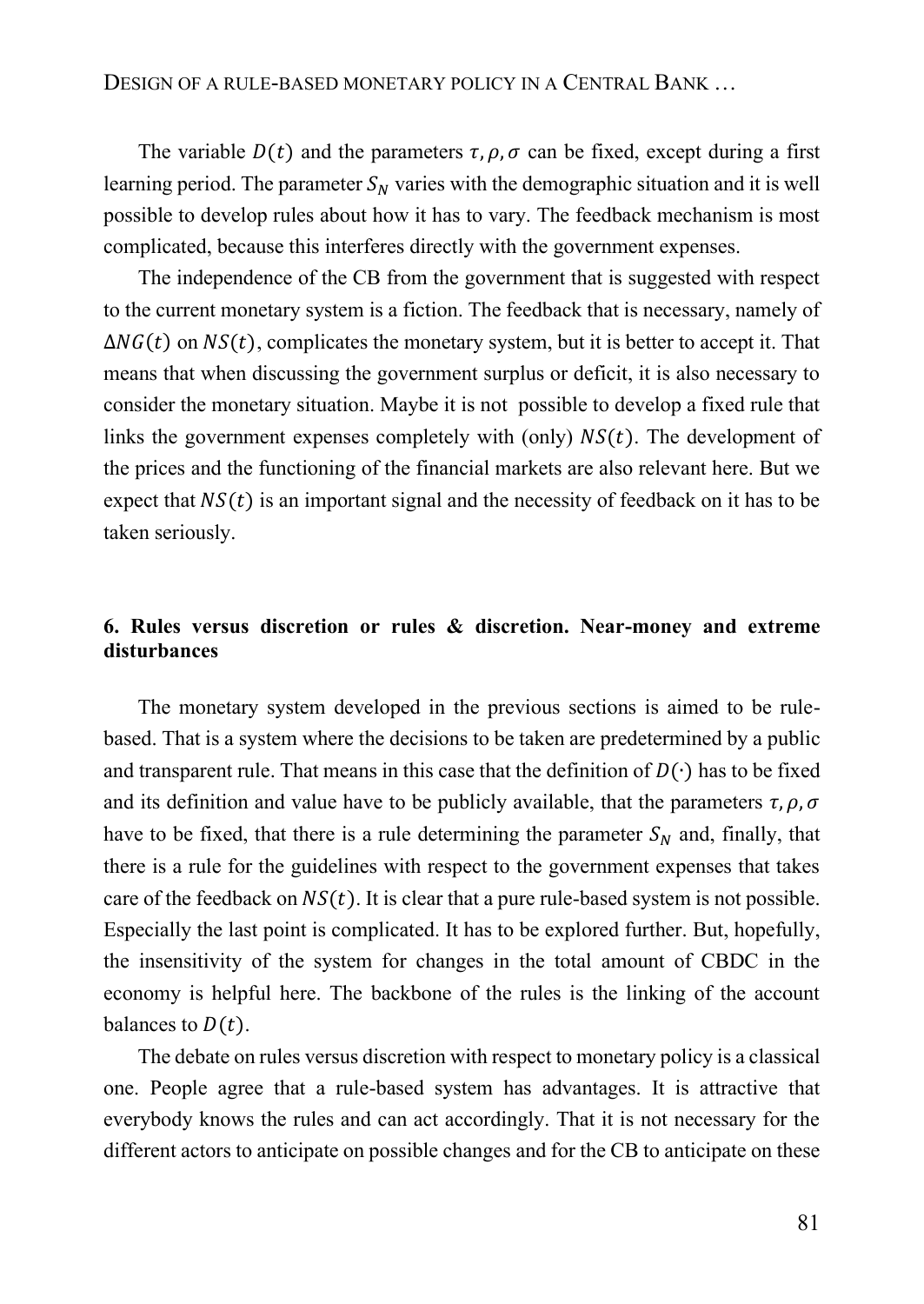The variable  $D(t)$  and the parameters  $\tau$ ,  $\rho$ ,  $\sigma$  can be fixed, except during a first learning period. The parameter  $S_N$  varies with the demographic situation and it is well possible to develop rules about how it has to vary. The feedback mechanism is most complicated, because this interferes directly with the government expenses.

The independence of the CB from the government that is suggested with respect to the current monetary system is a fiction. The feedback that is necessary, namely of  $\Delta NG(t)$  on  $NS(t)$ , complicates the monetary system, but it is better to accept it. That means that when discussing the government surplus or deficit, it is also necessary to consider the monetary situation. Maybe it is not possible to develop a fixed rule that links the government expenses completely with (only)  $NS(t)$ . The development of the prices and the functioning of the financial markets are also relevant here. But we expect that  $NS(t)$  is an important signal and the necessity of feedback on it has to be taken seriously.

# **6. Rules versus discretion or rules & discretion. Near-money and extreme disturbances**

The monetary system developed in the previous sections is aimed to be rulebased. That is a system where the decisions to be taken are predetermined by a public and transparent rule. That means in this case that the definition of  $D(\cdot)$  has to be fixed and its definition and value have to be publicly available, that the parameters  $\tau$ ,  $\rho$ ,  $\sigma$ have to be fixed, that there is a rule determining the parameter  $S_N$  and, finally, that there is a rule for the guidelines with respect to the government expenses that takes care of the feedback on  $NS(t)$ . It is clear that a pure rule-based system is not possible. Especially the last point is complicated. It has to be explored further. But, hopefully, the insensitivity of the system for changes in the total amount of CBDC in the economy is helpful here. The backbone of the rules is the linking of the account balances to  $D(t)$ .

The debate on rules versus discretion with respect to monetary policy is a classical one. People agree that a rule-based system has advantages. It is attractive that everybody knows the rules and can act accordingly. That it is not necessary for the different actors to anticipate on possible changes and for the CB to anticipate on these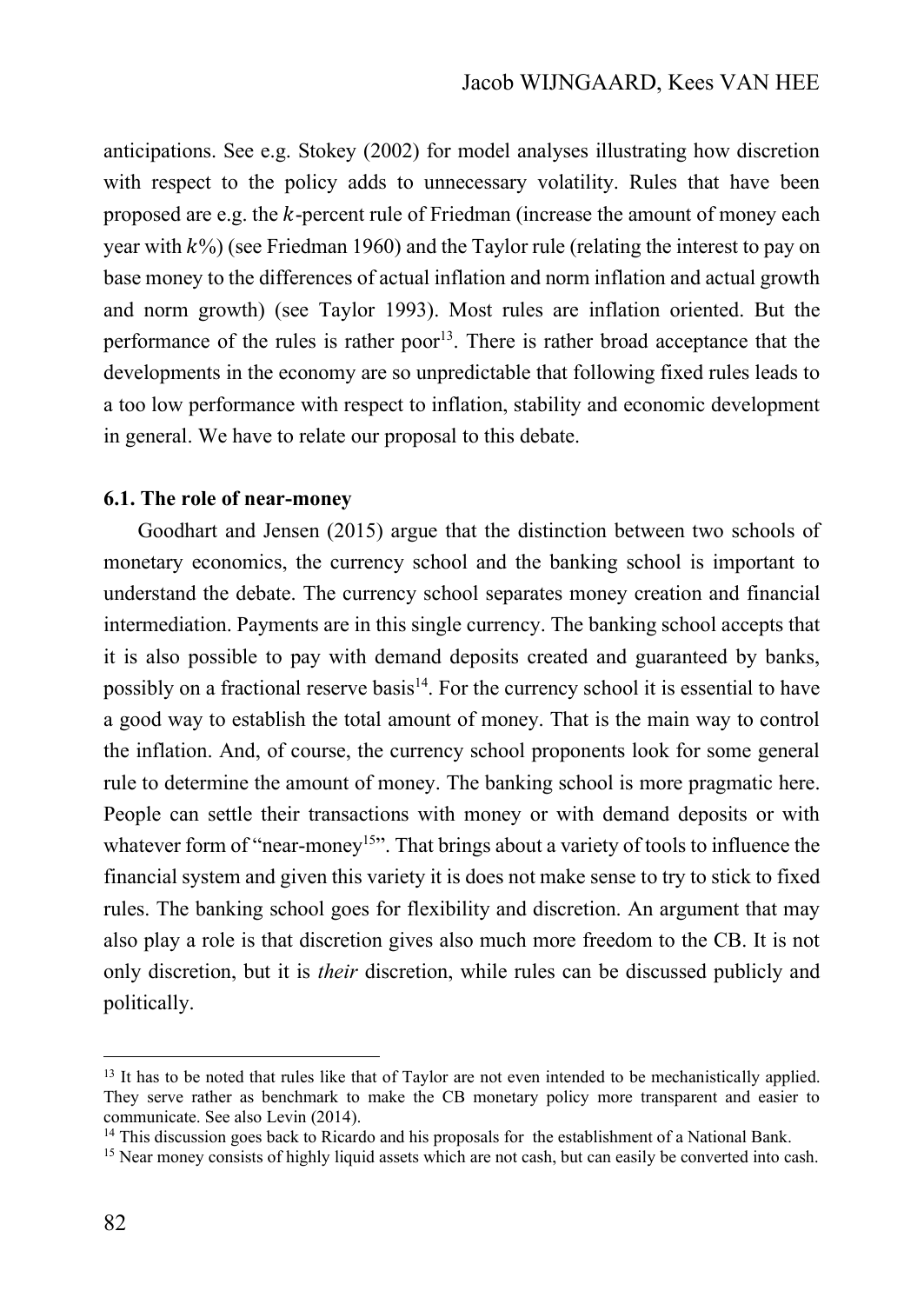anticipations. See e.g. Stokey (2002) for model analyses illustrating how discretion with respect to the policy adds to unnecessary volatility. Rules that have been proposed are e.g. the  $k$ -percent rule of Friedman (increase the amount of money each year with  $k\%$ ) (see Friedman 1960) and the Taylor rule (relating the interest to pay on base money to the differences of actual inflation and norm inflation and actual growth and norm growth) (see Taylor 1993). Most rules are inflation oriented. But the performance of the rules is rather poor<sup>13</sup>. There is rather broad acceptance that the developments in the economy are so unpredictable that following fixed rules leads to a too low performance with respect to inflation, stability and economic development in general. We have to relate our proposal to this debate.

## **6.1. The role of near-money**

Goodhart and Jensen (2015) argue that the distinction between two schools of monetary economics, the currency school and the banking school is important to understand the debate. The currency school separates money creation and financial intermediation. Payments are in this single currency. The banking school accepts that it is also possible to pay with demand deposits created and guaranteed by banks, possibly on a fractional reserve basis<sup>14</sup>. For the currency school it is essential to have a good way to establish the total amount of money. That is the main way to control the inflation. And, of course, the currency school proponents look for some general rule to determine the amount of money. The banking school is more pragmatic here. People can settle their transactions with money or with demand deposits or with whatever form of "near-money<sup>15</sup>". That brings about a variety of tools to influence the financial system and given this variety it is does not make sense to try to stick to fixed rules. The banking school goes for flexibility and discretion. An argument that may also play a role is that discretion gives also much more freedom to the CB. It is not only discretion, but it is *their* discretion, while rules can be discussed publicly and politically.

<sup>&</sup>lt;sup>13</sup> It has to be noted that rules like that of Taylor are not even intended to be mechanistically applied. They serve rather as benchmark to make the CB monetary policy more transparent and easier to communicate. See also Levin (2014).

<sup>&</sup>lt;sup>14</sup> This discussion goes back to Ricardo and his proposals for the establishment of a National Bank.

<sup>&</sup>lt;sup>15</sup> Near money consists of highly liquid assets which are not cash, but can easily be converted into cash.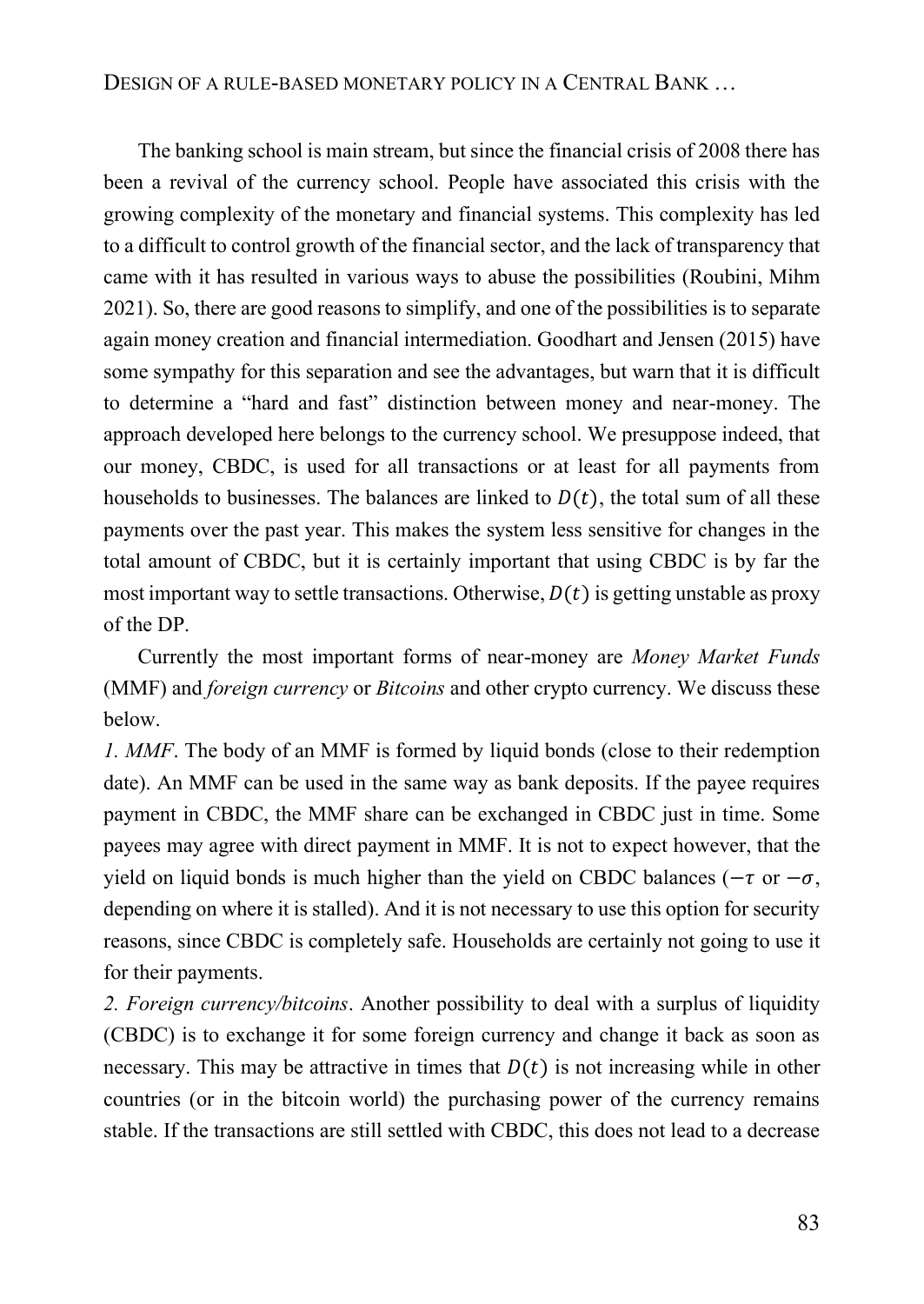The banking school is main stream, but since the financial crisis of 2008 there has been a revival of the currency school. People have associated this crisis with the growing complexity of the monetary and financial systems. This complexity has led to a difficult to control growth of the financial sector, and the lack of transparency that came with it has resulted in various ways to abuse the possibilities (Roubini, Mihm 2021). So, there are good reasons to simplify, and one of the possibilities is to separate again money creation and financial intermediation. Goodhart and Jensen (2015) have some sympathy for this separation and see the advantages, but warn that it is difficult to determine a "hard and fast" distinction between money and near-money. The approach developed here belongs to the currency school. We presuppose indeed, that our money, CBDC, is used for all transactions or at least for all payments from households to businesses. The balances are linked to  $D(t)$ , the total sum of all these payments over the past year. This makes the system less sensitive for changes in the total amount of CBDC, but it is certainly important that using CBDC is by far the most important way to settle transactions. Otherwise,  $D(t)$  is getting unstable as proxy of the DP.

Currently the most important forms of near-money are *Money Market Funds* (MMF) and *foreign currency* or *Bitcoins* and other crypto currency. We discuss these below.

*1. MMF*. The body of an MMF is formed by liquid bonds (close to their redemption date). An MMF can be used in the same way as bank deposits. If the payee requires payment in CBDC, the MMF share can be exchanged in CBDC just in time. Some payees may agree with direct payment in MMF. It is not to expect however, that the yield on liquid bonds is much higher than the yield on CBDC balances ( $-\tau$  or  $-\sigma$ , depending on where it is stalled). And it is not necessary to use this option for security reasons, since CBDC is completely safe. Households are certainly not going to use it for their payments.

*2. Foreign currency/bitcoins*. Another possibility to deal with a surplus of liquidity (CBDC) is to exchange it for some foreign currency and change it back as soon as necessary. This may be attractive in times that  $D(t)$  is not increasing while in other countries (or in the bitcoin world) the purchasing power of the currency remains stable. If the transactions are still settled with CBDC, this does not lead to a decrease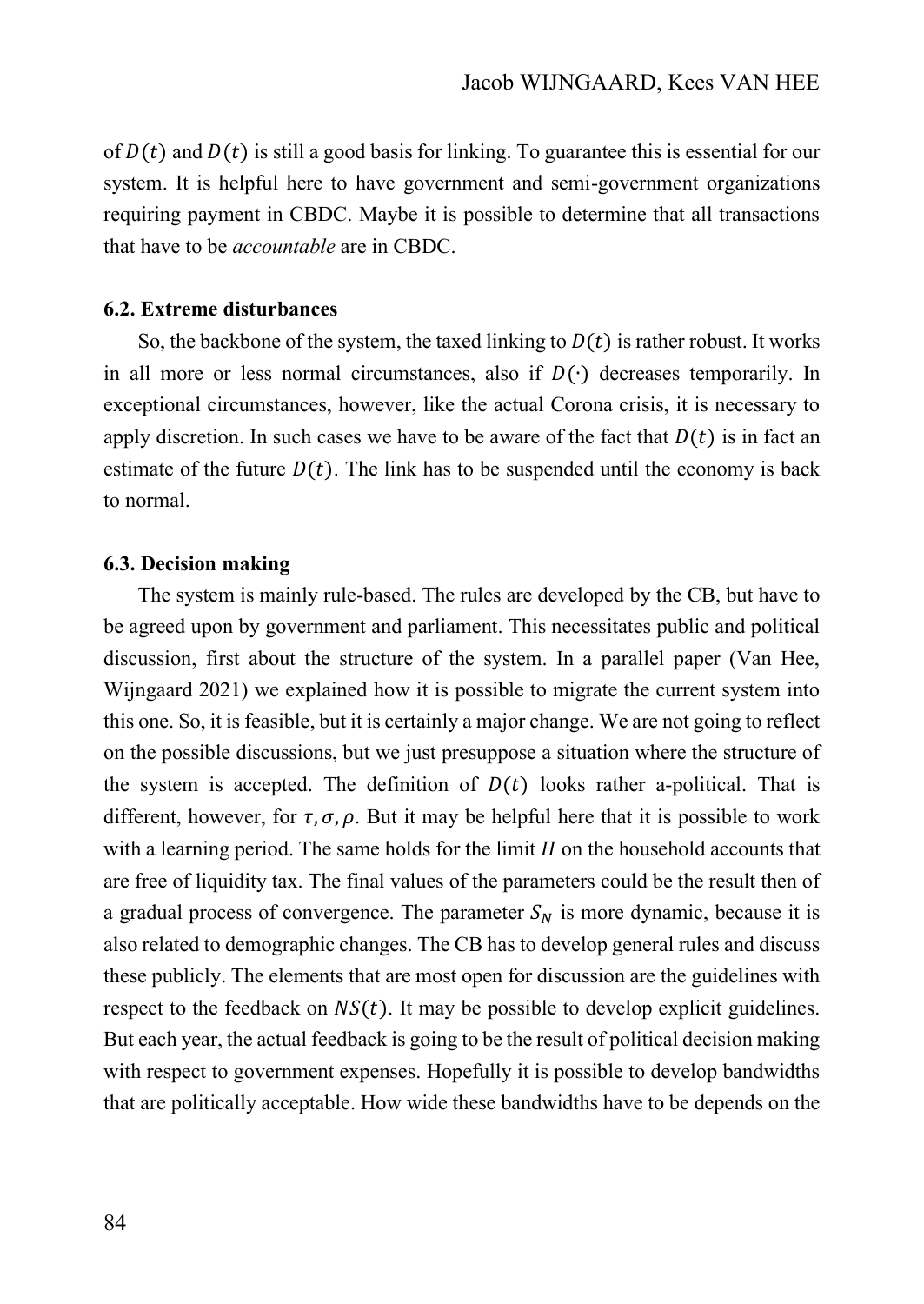of  $D(t)$  and  $D(t)$  is still a good basis for linking. To guarantee this is essential for our system. It is helpful here to have government and semi-government organizations requiring payment in CBDC. Maybe it is possible to determine that all transactions that have to be *accountable* are in CBDC.

## **6.2. Extreme disturbances**

So, the backbone of the system, the taxed linking to  $D(t)$  is rather robust. It works in all more or less normal circumstances, also if  $D(·)$  decreases temporarily. In exceptional circumstances, however, like the actual Corona crisis, it is necessary to apply discretion. In such cases we have to be aware of the fact that  $D(t)$  is in fact an estimate of the future  $D(t)$ . The link has to be suspended until the economy is back to normal.

### **6.3. Decision making**

The system is mainly rule-based. The rules are developed by the CB, but have to be agreed upon by government and parliament. This necessitates public and political discussion, first about the structure of the system. In a parallel paper (Van Hee, Wijngaard 2021) we explained how it is possible to migrate the current system into this one. So, it is feasible, but it is certainly a major change. We are not going to reflect on the possible discussions, but we just presuppose a situation where the structure of the system is accepted. The definition of  $D(t)$  looks rather a-political. That is different, however, for  $\tau$ ,  $\sigma$ ,  $\rho$ . But it may be helpful here that it is possible to work with a learning period. The same holds for the limit  $H$  on the household accounts that are free of liquidity tax. The final values of the parameters could be the result then of a gradual process of convergence. The parameter  $S_N$  is more dynamic, because it is also related to demographic changes. The CB has to develop general rules and discuss these publicly. The elements that are most open for discussion are the guidelines with respect to the feedback on  $NS(t)$ . It may be possible to develop explicit guidelines. But each year, the actual feedback is going to be the result of political decision making with respect to government expenses. Hopefully it is possible to develop bandwidths that are politically acceptable. How wide these bandwidths have to be depends on the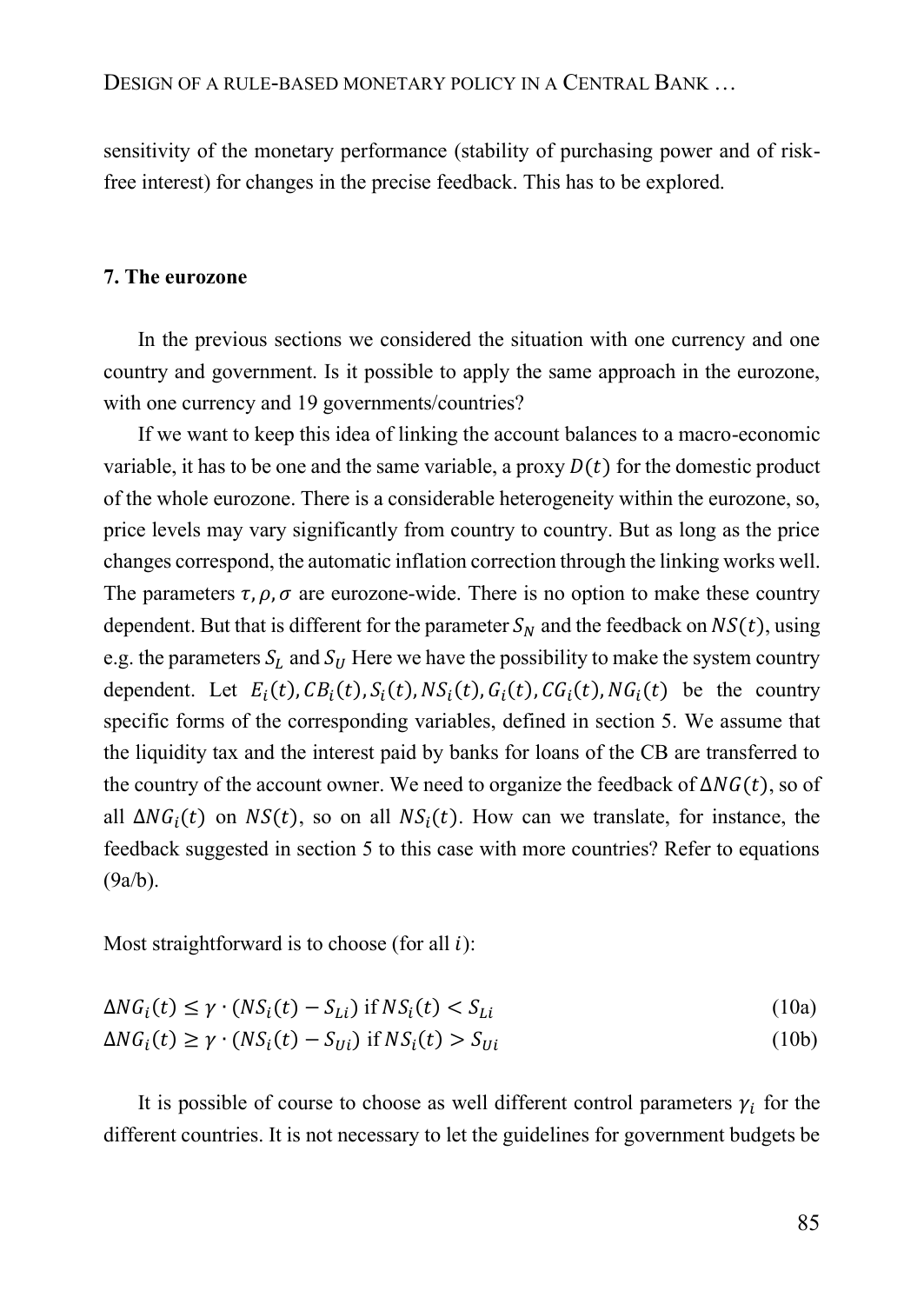sensitivity of the monetary performance (stability of purchasing power and of riskfree interest) for changes in the precise feedback. This has to be explored.

#### **7. The eurozone**

In the previous sections we considered the situation with one currency and one country and government. Is it possible to apply the same approach in the eurozone, with one currency and 19 governments/countries?

If we want to keep this idea of linking the account balances to a macro-economic variable, it has to be one and the same variable, a proxy  $D(t)$  for the domestic product of the whole eurozone. There is a considerable heterogeneity within the eurozone, so, price levels may vary significantly from country to country. But as long as the price changes correspond, the automatic inflation correction through the linking works well. The parameters  $\tau$ ,  $\rho$ ,  $\sigma$  are eurozone-wide. There is no option to make these country dependent. But that is different for the parameter  $S_N$  and the feedback on  $NS(t)$ , using e.g. the parameters  $S_L$  and  $S_U$  Here we have the possibility to make the system country dependent. Let  $E_i(t)$ ,  $CB_i(t)$ ,  $S_i(t)$ ,  $NS_i(t)$ ,  $G_i(t)$ ,  $CG_i(t)$ ,  $NG_i(t)$  be the country specific forms of the corresponding variables, defined in section 5. We assume that the liquidity tax and the interest paid by banks for loans of the CB are transferred to the country of the account owner. We need to organize the feedback of  $\Delta NG(t)$ , so of all  $\Delta NG_i(t)$  on  $NS(t)$ , so on all  $NS_i(t)$ . How can we translate, for instance, the feedback suggested in section 5 to this case with more countries? Refer to equations (9a/b).

Most straightforward is to choose (for all  $i$ ):

$$
\Delta NG_i(t) \le \gamma \cdot (NS_i(t) - S_{Li}) \text{ if } NS_i(t) < S_{Li} \tag{10a}
$$

$$
\Delta NG_i(t) \ge \gamma \cdot (NS_i(t) - S_{Ui}) \text{ if } NS_i(t) > S_{Ui} \tag{10b}
$$

It is possible of course to choose as well different control parameters  $\gamma_i$  for the different countries. It is not necessary to let the guidelines for government budgets be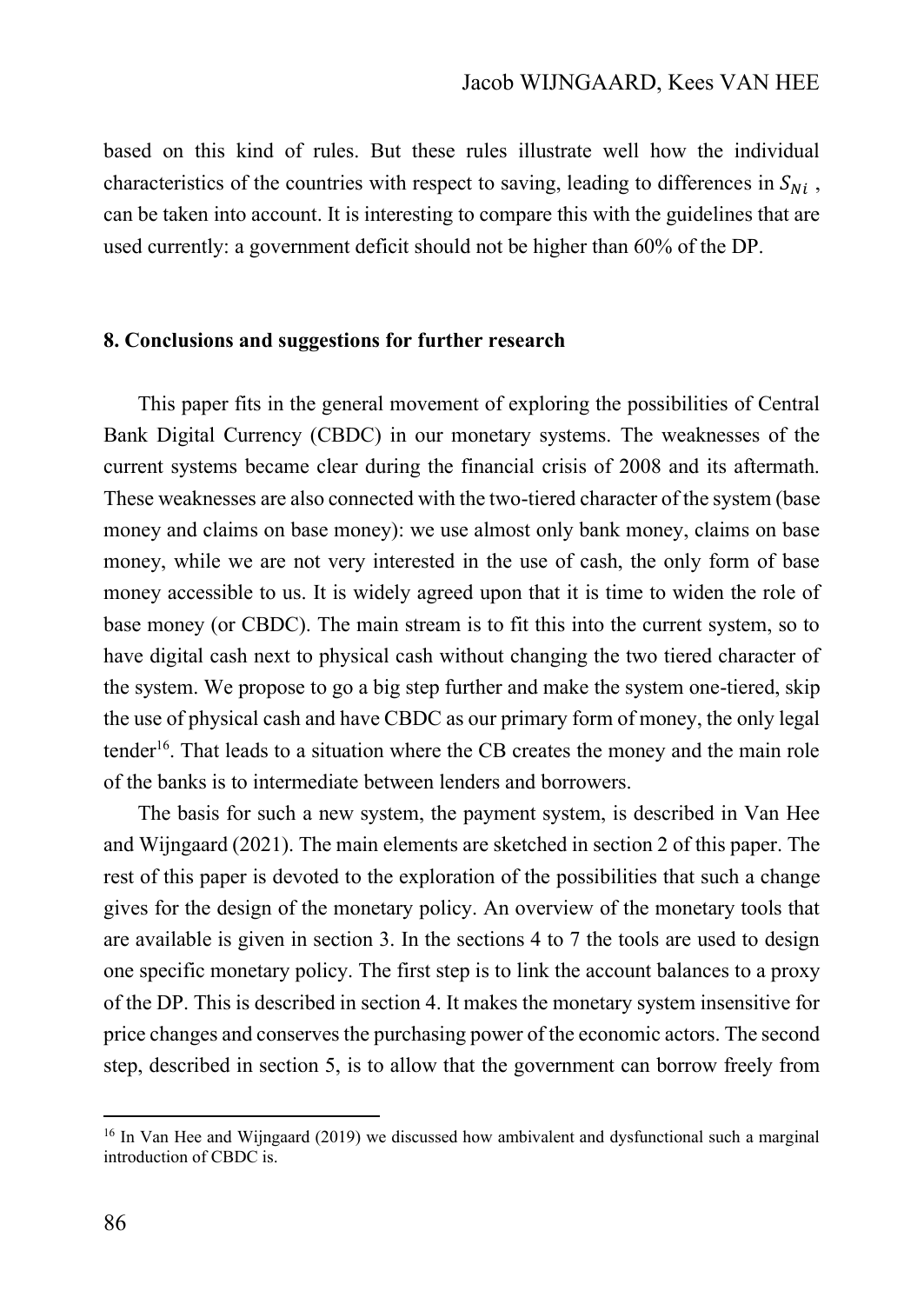based on this kind of rules. But these rules illustrate well how the individual characteristics of the countries with respect to saving, leading to differences in  $S_{Ni}$ , can be taken into account. It is interesting to compare this with the guidelines that are used currently: a government deficit should not be higher than 60% of the DP.

#### **8. Conclusions and suggestions for further research**

This paper fits in the general movement of exploring the possibilities of Central Bank Digital Currency (CBDC) in our monetary systems. The weaknesses of the current systems became clear during the financial crisis of 2008 and its aftermath. These weaknesses are also connected with the two-tiered character of the system (base money and claims on base money): we use almost only bank money, claims on base money, while we are not very interested in the use of cash, the only form of base money accessible to us. It is widely agreed upon that it is time to widen the role of base money (or CBDC). The main stream is to fit this into the current system, so to have digital cash next to physical cash without changing the two tiered character of the system. We propose to go a big step further and make the system one-tiered, skip the use of physical cash and have CBDC as our primary form of money, the only legal tender<sup>16</sup>. That leads to a situation where the CB creates the money and the main role of the banks is to intermediate between lenders and borrowers.

The basis for such a new system, the payment system, is described in Van Hee and Wijngaard (2021). The main elements are sketched in section 2 of this paper. The rest of this paper is devoted to the exploration of the possibilities that such a change gives for the design of the monetary policy. An overview of the monetary tools that are available is given in section 3. In the sections 4 to 7 the tools are used to design one specific monetary policy. The first step is to link the account balances to a proxy of the DP. This is described in section 4. It makes the monetary system insensitive for price changes and conserves the purchasing power of the economic actors. The second step, described in section 5, is to allow that the government can borrow freely from

<sup>&</sup>lt;sup>16</sup> In Van Hee and Wijngaard (2019) we discussed how ambivalent and dysfunctional such a marginal introduction of CBDC is.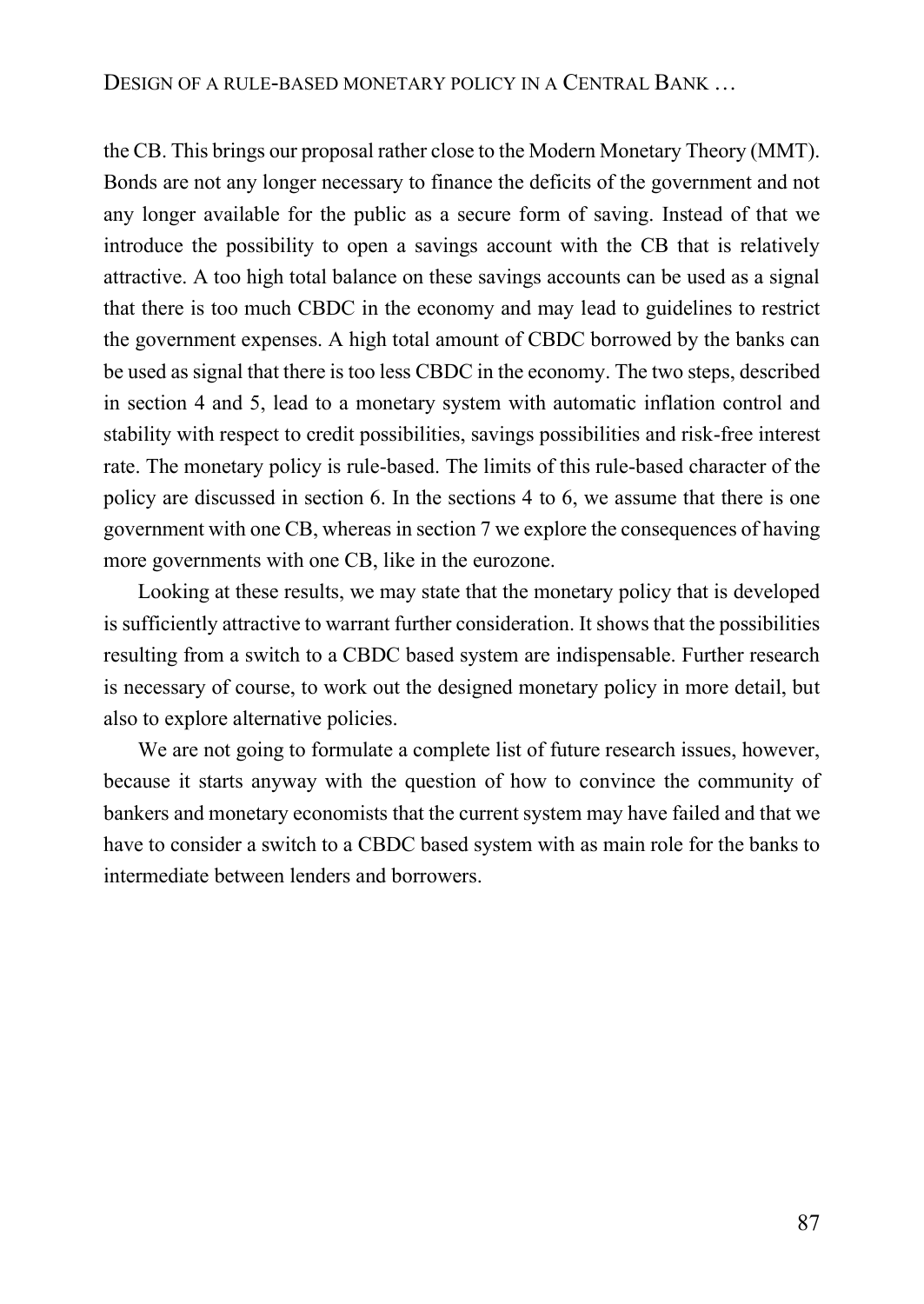the CB. This brings our proposal rather close to the Modern Monetary Theory (MMT). Bonds are not any longer necessary to finance the deficits of the government and not any longer available for the public as a secure form of saving. Instead of that we introduce the possibility to open a savings account with the CB that is relatively attractive. A too high total balance on these savings accounts can be used as a signal that there is too much CBDC in the economy and may lead to guidelines to restrict the government expenses. A high total amount of CBDC borrowed by the banks can be used as signal that there is too less CBDC in the economy. The two steps, described in section 4 and 5, lead to a monetary system with automatic inflation control and stability with respect to credit possibilities, savings possibilities and risk-free interest rate. The monetary policy is rule-based. The limits of this rule-based character of the policy are discussed in section 6. In the sections 4 to 6, we assume that there is one government with one CB, whereas in section 7 we explore the consequences of having more governments with one CB, like in the eurozone.

Looking at these results, we may state that the monetary policy that is developed is sufficiently attractive to warrant further consideration. It shows that the possibilities resulting from a switch to a CBDC based system are indispensable. Further research is necessary of course, to work out the designed monetary policy in more detail, but also to explore alternative policies.

We are not going to formulate a complete list of future research issues, however, because it starts anyway with the question of how to convince the community of bankers and monetary economists that the current system may have failed and that we have to consider a switch to a CBDC based system with as main role for the banks to intermediate between lenders and borrowers.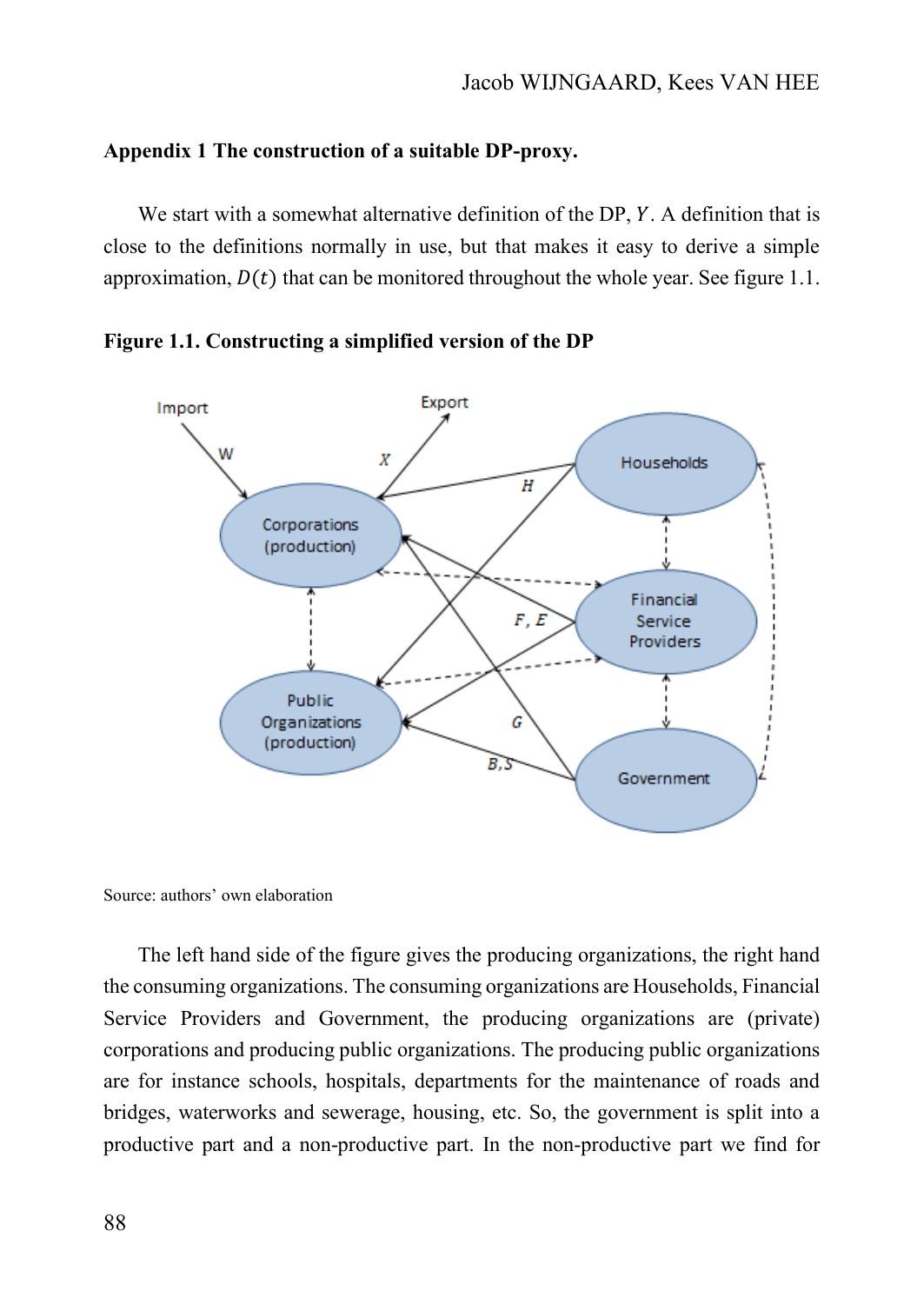### **Appendix 1 The construction of a suitable DP-proxy.**

We start with a somewhat alternative definition of the  $DP, Y$ . A definition that is close to the definitions normally in use, but that makes it easy to derive a simple approximation,  $D(t)$  that can be monitored throughout the whole year. See figure 1.1.



**Figure 1.1. Constructing a simplified version of the DP**

Source: authors' own elaboration

The left hand side of the figure gives the producing organizations, the right hand the consuming organizations. The consuming organizations are Households, Financial Service Providers and Government, the producing organizations are (private) corporations and producing public organizations. The producing public organizations are for instance schools, hospitals, departments for the maintenance of roads and bridges, waterworks and sewerage, housing, etc. So, the government is split into a productive part and a non-productive part. In the non-productive part we find for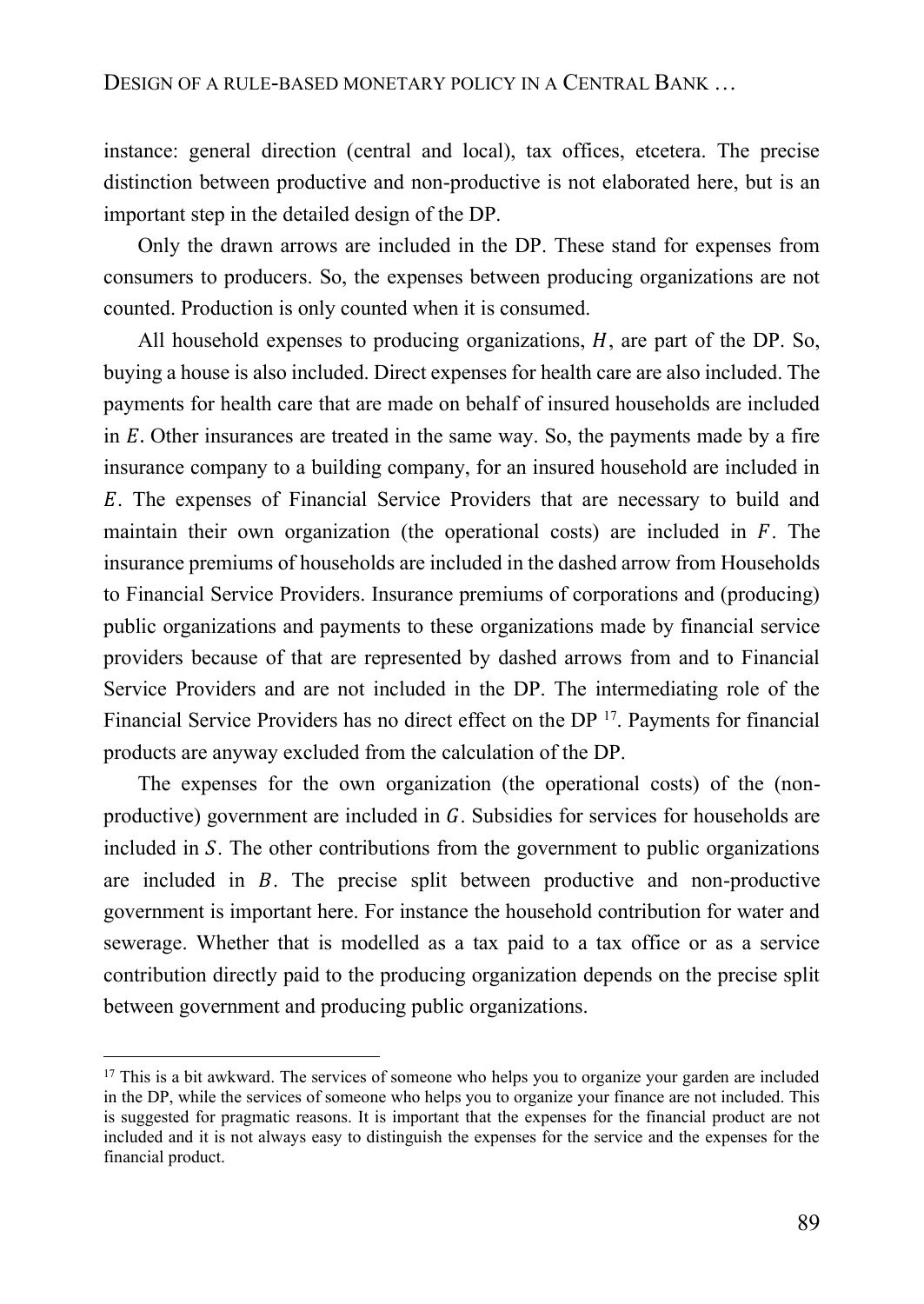instance: general direction (central and local), tax offices, etcetera. The precise distinction between productive and non-productive is not elaborated here, but is an important step in the detailed design of the DP.

Only the drawn arrows are included in the DP. These stand for expenses from consumers to producers. So, the expenses between producing organizations are not counted. Production is only counted when it is consumed.

All household expenses to producing organizations,  $H$ , are part of the DP. So, buying a house is also included. Direct expenses for health care are also included. The payments for health care that are made on behalf of insured households are included in  $E$ . Other insurances are treated in the same way. So, the payments made by a fire insurance company to a building company, for an insured household are included in . The expenses of Financial Service Providers that are necessary to build and maintain their own organization (the operational costs) are included in  $F$ . The insurance premiums of households are included in the dashed arrow from Households to Financial Service Providers. Insurance premiums of corporations and (producing) public organizations and payments to these organizations made by financial service providers because of that are represented by dashed arrows from and to Financial Service Providers and are not included in the DP. The intermediating role of the Financial Service Providers has no direct effect on the DP <sup>17</sup>. Payments for financial products are anyway excluded from the calculation of the DP.

The expenses for the own organization (the operational costs) of the (nonproductive) government are included in  $G$ . Subsidies for services for households are included in S. The other contributions from the government to public organizations are included in  $B$ . The precise split between productive and non-productive government is important here. For instance the household contribution for water and sewerage. Whether that is modelled as a tax paid to a tax office or as a service contribution directly paid to the producing organization depends on the precise split between government and producing public organizations.

 $17$  This is a bit awkward. The services of someone who helps you to organize your garden are included in the DP, while the services of someone who helps you to organize your finance are not included. This is suggested for pragmatic reasons. It is important that the expenses for the financial product are not included and it is not always easy to distinguish the expenses for the service and the expenses for the financial product.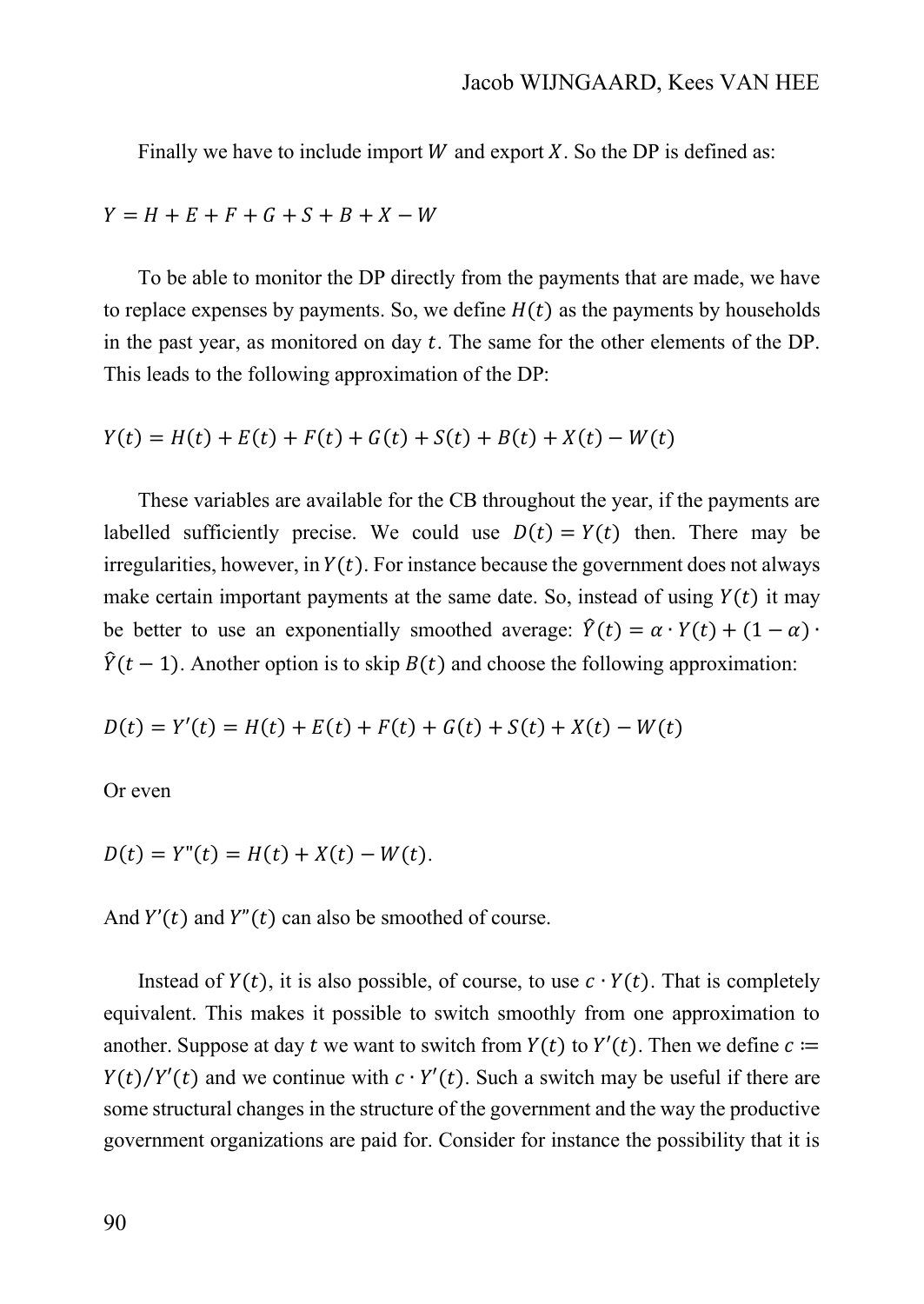Finally we have to include import W and export  $X$ . So the DP is defined as:

 $Y = H + E + F + G + S + B + X - W$ 

To be able to monitor the DP directly from the payments that are made, we have to replace expenses by payments. So, we define  $H(t)$  as the payments by households in the past year, as monitored on day  $t$ . The same for the other elements of the DP. This leads to the following approximation of the DP:

 $Y(t) = H(t) + E(t) + F(t) + G(t) + S(t) + B(t) + X(t) - W(t)$ 

These variables are available for the CB throughout the year, if the payments are labelled sufficiently precise. We could use  $D(t) = Y(t)$  then. There may be irregularities, however, in  $Y(t)$ . For instance because the government does not always make certain important payments at the same date. So, instead of using  $Y(t)$  it may be better to use an exponentially smoothed average:  $\hat{Y}(t) = \alpha \cdot Y(t) + (1 - \alpha) \cdot Y(t)$  $\hat{Y}(t-1)$ . Another option is to skip  $B(t)$  and choose the following approximation:

$$
D(t) = Y'(t) = H(t) + E(t) + F(t) + G(t) + S(t) + X(t) - W(t)
$$

Or even

$$
D(t) = Y''(t) = H(t) + X(t) - W(t).
$$

And  $Y'(t)$  and  $Y''(t)$  can also be smoothed of course.

Instead of  $Y(t)$ , it is also possible, of course, to use  $c \cdot Y(t)$ . That is completely equivalent. This makes it possible to switch smoothly from one approximation to another. Suppose at day t we want to switch from  $Y(t)$  to  $Y'(t)$ . Then we define  $c \coloneqq$  $Y(t)/Y'(t)$  and we continue with  $c \cdot Y'(t)$ . Such a switch may be useful if there are some structural changes in the structure of the government and the way the productive government organizations are paid for. Consider for instance the possibility that it is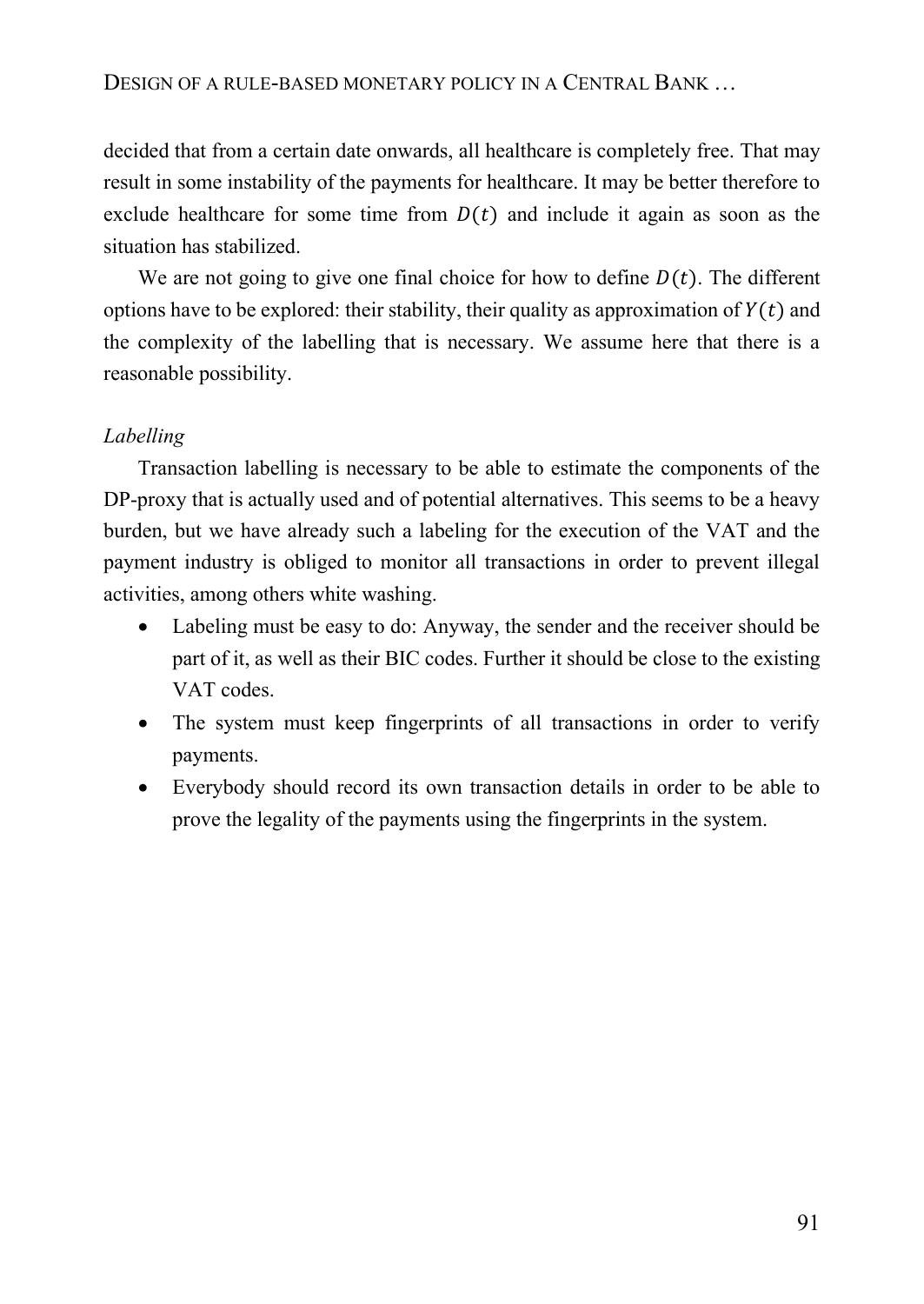decided that from a certain date onwards, all healthcare is completely free. That may result in some instability of the payments for healthcare. It may be better therefore to exclude healthcare for some time from  $D(t)$  and include it again as soon as the situation has stabilized.

We are not going to give one final choice for how to define  $D(t)$ . The different options have to be explored: their stability, their quality as approximation of  $Y(t)$  and the complexity of the labelling that is necessary. We assume here that there is a reasonable possibility.

# *Labelling*

Transaction labelling is necessary to be able to estimate the components of the DP-proxy that is actually used and of potential alternatives. This seems to be a heavy burden, but we have already such a labeling for the execution of the VAT and the payment industry is obliged to monitor all transactions in order to prevent illegal activities, among others white washing.

- Labeling must be easy to do: Anyway, the sender and the receiver should be part of it, as well as their BIC codes. Further it should be close to the existing VAT codes.
- The system must keep fingerprints of all transactions in order to verify payments.
- Everybody should record its own transaction details in order to be able to prove the legality of the payments using the fingerprints in the system.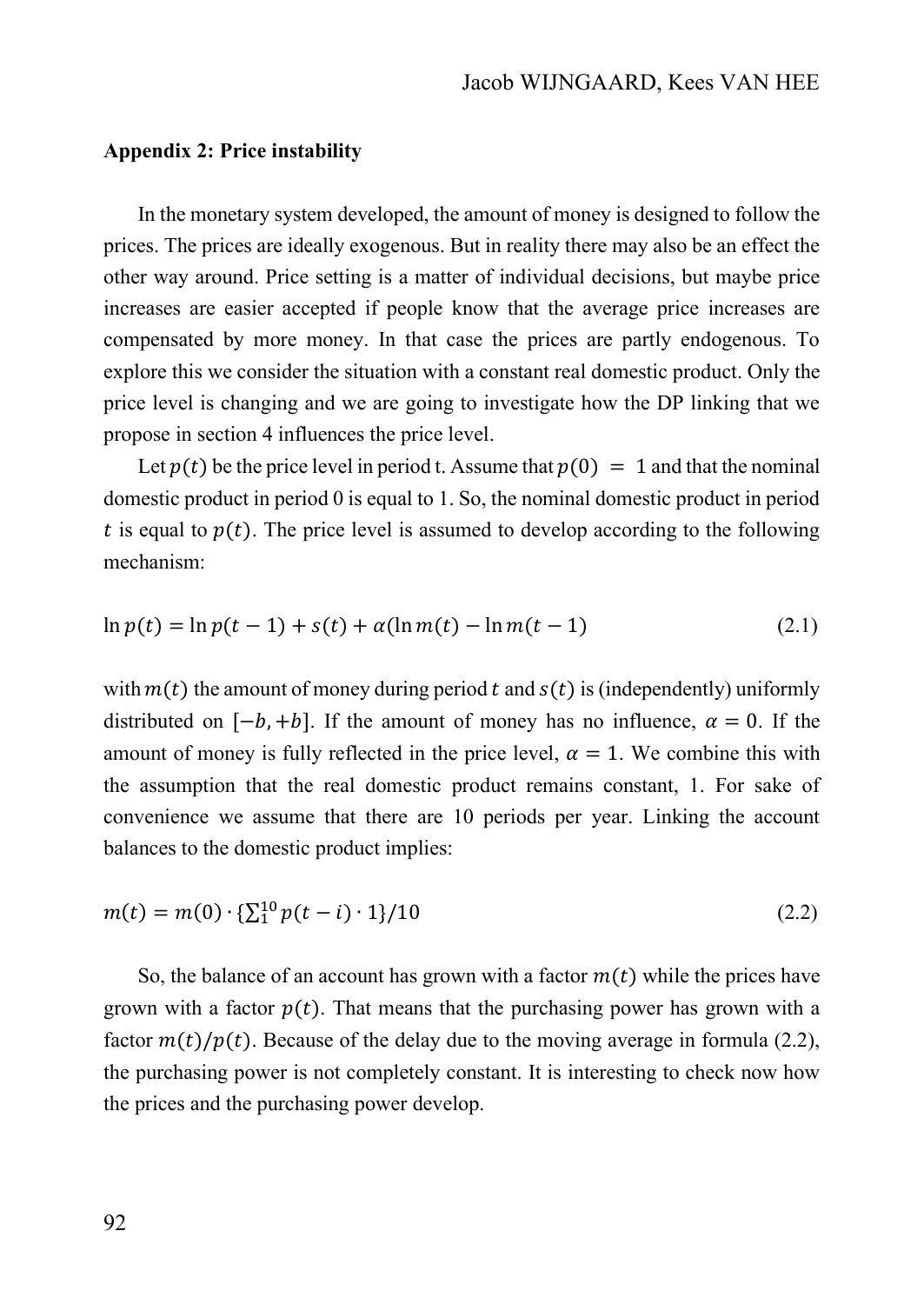#### **Appendix 2: Price instability**

In the monetary system developed, the amount of money is designed to follow the prices. The prices are ideally exogenous. But in reality there may also be an effect the other way around. Price setting is a matter of individual decisions, but maybe price increases are easier accepted if people know that the average price increases are compensated by more money. In that case the prices are partly endogenous. To explore this we consider the situation with a constant real domestic product. Only the price level is changing and we are going to investigate how the DP linking that we propose in section 4 influences the price level.

Let  $p(t)$  be the price level in period t. Assume that  $p(0) = 1$  and that the nominal domestic product in period 0 is equal to 1. So, the nominal domestic product in period t is equal to  $p(t)$ . The price level is assumed to develop according to the following mechanism:

$$
\ln p(t) = \ln p(t-1) + s(t) + \alpha(\ln m(t) - \ln m(t-1)
$$
\n(2.1)

with  $m(t)$  the amount of money during period t and  $s(t)$  is (independently) uniformly distributed on  $[-b, +b]$ . If the amount of money has no influence,  $\alpha = 0$ . If the amount of money is fully reflected in the price level,  $\alpha = 1$ . We combine this with the assumption that the real domestic product remains constant, 1. For sake of convenience we assume that there are 10 periods per year. Linking the account balances to the domestic product implies:

$$
m(t) = m(0) \cdot {\sum_{i=1}^{10} p(t-i) \cdot 1} / 10
$$
 (2.2)

So, the balance of an account has grown with a factor  $m(t)$  while the prices have grown with a factor  $p(t)$ . That means that the purchasing power has grown with a factor  $m(t)/p(t)$ . Because of the delay due to the moving average in formula (2.2), the purchasing power is not completely constant. It is interesting to check now how the prices and the purchasing power develop.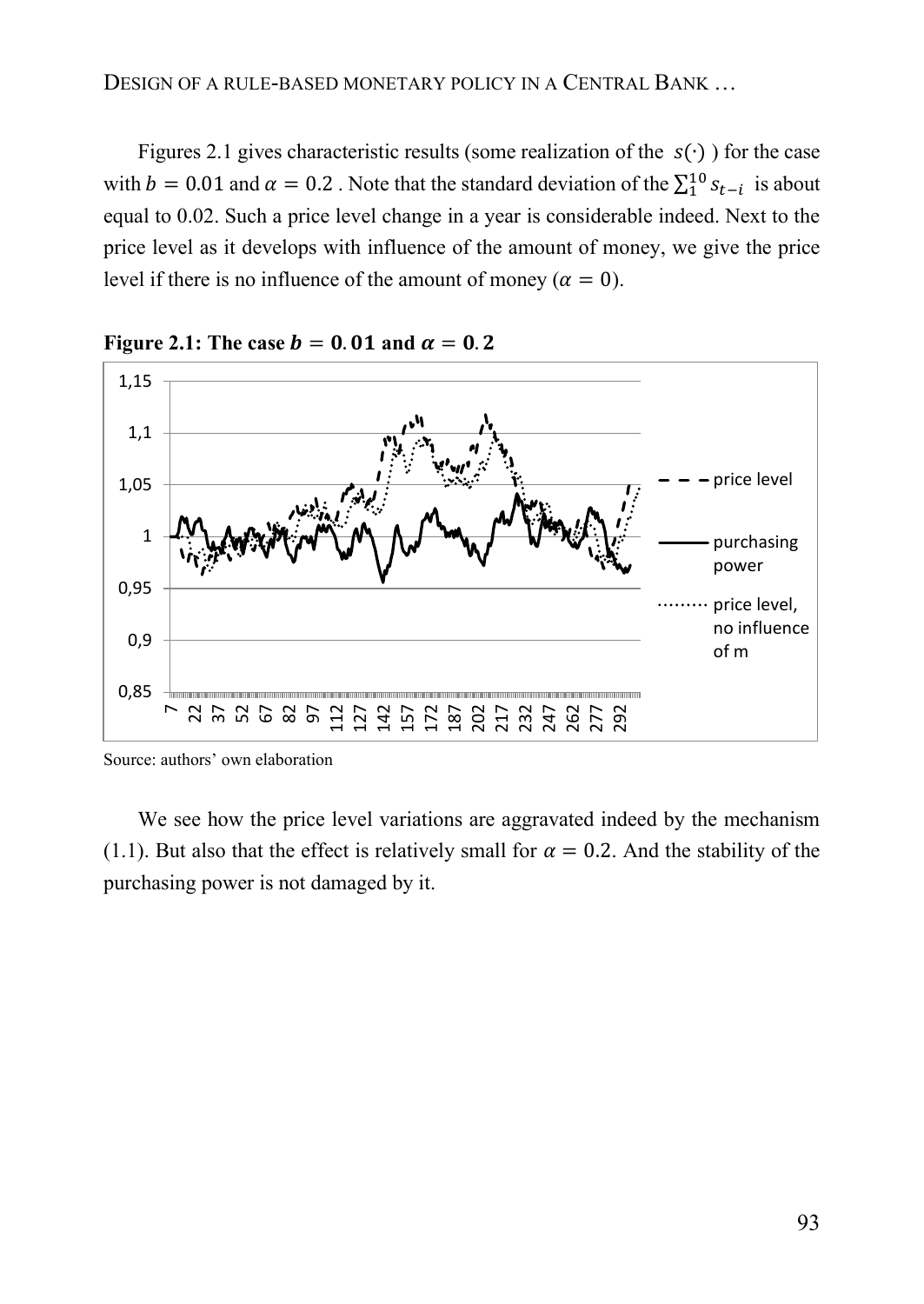Figures 2.1 gives characteristic results (some realization of the  $s(\cdot)$ ) for the case with  $b = 0.01$  and  $\alpha = 0.2$ . Note that the standard deviation of the  $\sum_{i=1}^{10} s_{t-i}$  is about equal to 0.02. Such a price level change in a year is considerable indeed. Next to the price level as it develops with influence of the amount of money, we give the price level if there is no influence of the amount of money ( $\alpha = 0$ ).



Figure 2.1: The case  $b = 0.01$  and  $\alpha = 0.2$ 

We see how the price level variations are aggravated indeed by the mechanism (1.1). But also that the effect is relatively small for  $\alpha = 0.2$ . And the stability of the purchasing power is not damaged by it.

Source: authors' own elaboration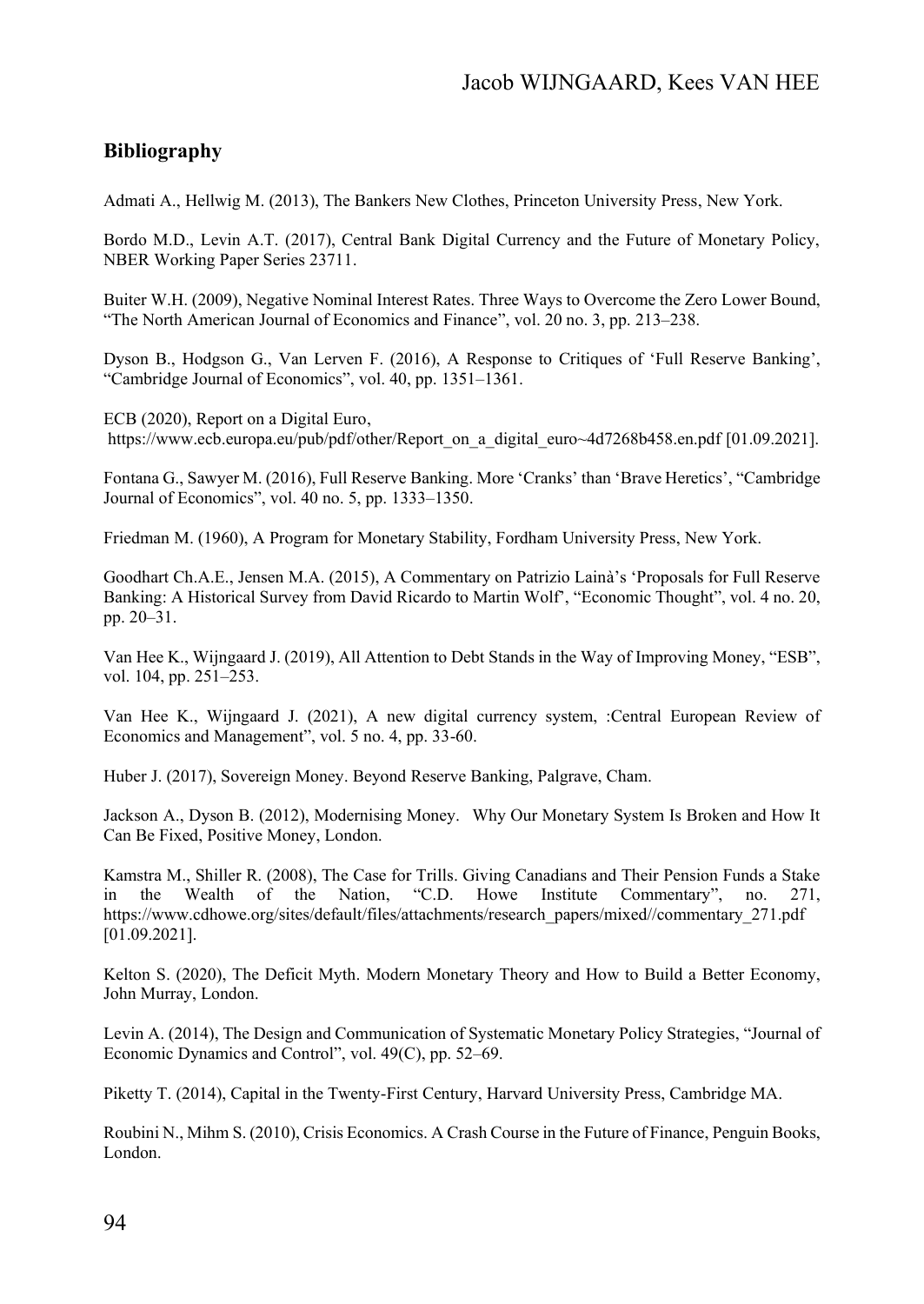# **Bibliography**

Admati A., Hellwig M. (2013), The Bankers New Clothes, Princeton University Press, New York.

Bordo M.D., Levin A.T. (2017), Central Bank Digital Currency and the Future of Monetary Policy, NBER Working Paper Series 23711.

Buiter W.H. (2009), Negative Nominal Interest Rates. Three Ways to Overcome the Zero Lower Bound, "The North American Journal of Economics and Finance", vol. 20 no. 3, pp. 213–238.

Dyson B., Hodgson G., Van Lerven F. (2016), A Response to Critiques of 'Full Reserve Banking', "Cambridge Journal of Economics", vol. 40, pp. 1351–1361.

ECB (2020), Report on a Digital Euro, https://www.ecb.europa.eu/pub/pdf/other/Report\_on\_a\_digital\_euro~4d7268b458.en.pdf [01.09.2021].

Fontana G., Sawyer M. (2016), Full Reserve Banking. More 'Cranks' than 'Brave Heretics', "Cambridge Journal of Economics", vol. 40 no. 5, pp. 1333–1350.

Friedman M. (1960), A Program for Monetary Stability, Fordham University Press, New York.

Goodhart Ch.A.E., Jensen M.A. (2015), A Commentary on Patrizio Lainà's 'Proposals for Full Reserve Banking: A Historical Survey from David Ricardo to Martin Wolf', "Economic Thought", vol. 4 no. 20, pp. 20–31.

Van Hee K., Wijngaard J. (2019), All Attention to Debt Stands in the Way of Improving Money, "ESB", vol. 104, pp. 251–253.

Van Hee K., Wijngaard J. (2021), A new digital currency system, :Central European Review of Economics and Management", vol. 5 no. 4, pp. 33-60.

Huber J. (2017), Sovereign Money. Beyond Reserve Banking, Palgrave, Cham.

Jackson A., Dyson B. (2012), Modernising Money. Why Our Monetary System Is Broken and How It Can Be Fixed, Positive Money, London.

Kamstra M., Shiller R. (2008), The Case for Trills. Giving Canadians and Their Pension Funds a Stake in the Wealth of the Nation, "C.D. Howe Institute Commentary", no. 271, in the Wealth of the Nation, "C.D. Howe Institute Commentary", no. 271, https://www.cdhowe.org/sites/default/files/attachments/research\_papers/mixed//commentary\_271.pdf [01.09.2021].

Kelton S. (2020), The Deficit Myth. Modern Monetary Theory and How to Build a Better Economy, John Murray, London.

Levin A. (2014), The Design and Communication of Systematic Monetary Policy Strategies, "Journal of Economic Dynamics and Control", vol. 49(C), pp. 52–69.

Piketty T. (2014), Capital in the Twenty-First Century, Harvard University Press, Cambridge MA.

Roubini N., Mihm S. (2010), Crisis Economics. A Crash Course in the Future of Finance, Penguin Books, London.